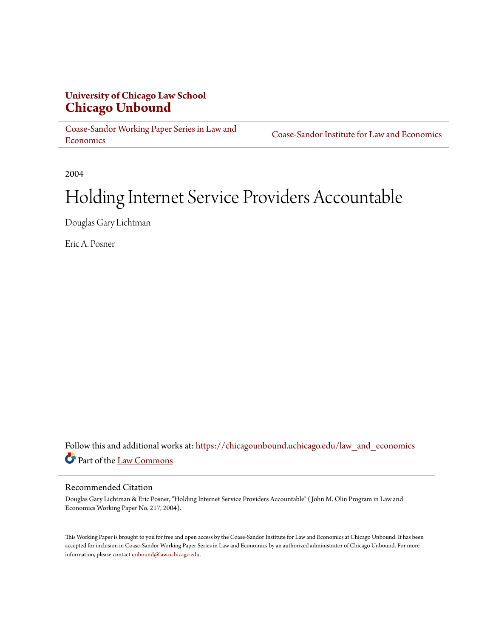## **University of Chicago Law School [Chicago Unbound](https://chicagounbound.uchicago.edu?utm_source=chicagounbound.uchicago.edu%2Flaw_and_economics%2F236&utm_medium=PDF&utm_campaign=PDFCoverPages)**

[Coase-Sandor Working Paper Series in Law and](https://chicagounbound.uchicago.edu/law_and_economics?utm_source=chicagounbound.uchicago.edu%2Flaw_and_economics%2F236&utm_medium=PDF&utm_campaign=PDFCoverPages) [Economics](https://chicagounbound.uchicago.edu/law_and_economics?utm_source=chicagounbound.uchicago.edu%2Flaw_and_economics%2F236&utm_medium=PDF&utm_campaign=PDFCoverPages)

[Coase-Sandor Institute for Law and Economics](https://chicagounbound.uchicago.edu/coase_sandor_institute?utm_source=chicagounbound.uchicago.edu%2Flaw_and_economics%2F236&utm_medium=PDF&utm_campaign=PDFCoverPages)

2004

# Holding Internet Service Providers Accountable

Douglas Gary Lichtman

Eric A. Posner

Follow this and additional works at: [https://chicagounbound.uchicago.edu/law\\_and\\_economics](https://chicagounbound.uchicago.edu/law_and_economics?utm_source=chicagounbound.uchicago.edu%2Flaw_and_economics%2F236&utm_medium=PDF&utm_campaign=PDFCoverPages) Part of the [Law Commons](http://network.bepress.com/hgg/discipline/578?utm_source=chicagounbound.uchicago.edu%2Flaw_and_economics%2F236&utm_medium=PDF&utm_campaign=PDFCoverPages)

#### Recommended Citation

Douglas Gary Lichtman & Eric Posner, "Holding Internet Service Providers Accountable" ( John M. Olin Program in Law and Economics Working Paper No. 217, 2004).

This Working Paper is brought to you for free and open access by the Coase-Sandor Institute for Law and Economics at Chicago Unbound. It has been accepted for inclusion in Coase-Sandor Working Paper Series in Law and Economics by an authorized administrator of Chicago Unbound. For more information, please contact [unbound@law.uchicago.edu.](mailto:unbound@law.uchicago.edu)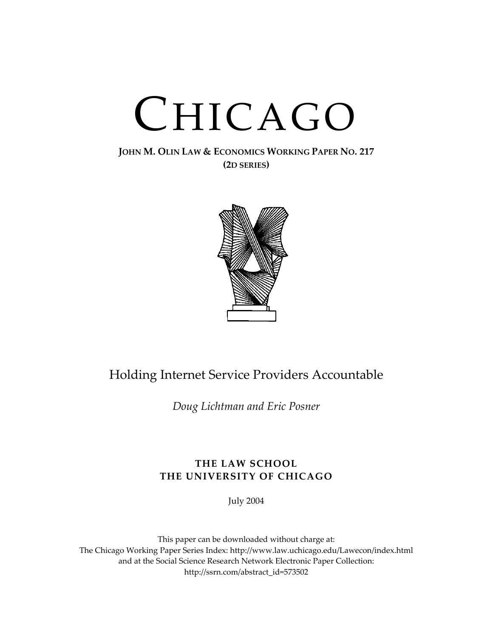# CHICAGO

#### **JOHN M. OLIN LAW & ECONOMICS WORKING PAPER NO. 217 (2D SERIES)**



# Holding Internet Service Providers Accountable

*Doug Lichtman and Eric Posner* 

### **THE LAW SCHOOL THE UNIVERSITY OF CHICAGO**

July 2004

This paper can be downloaded without charge at: The Chicago Working Paper Series Index: <http://www.law.uchicago.edu/Lawecon/index.html> and at the Social Science Research Network Electronic Paper Collection: [http://ssrn.com/abstract\\_id=573502](http://papers.ssrn.com/sol3/search.taf)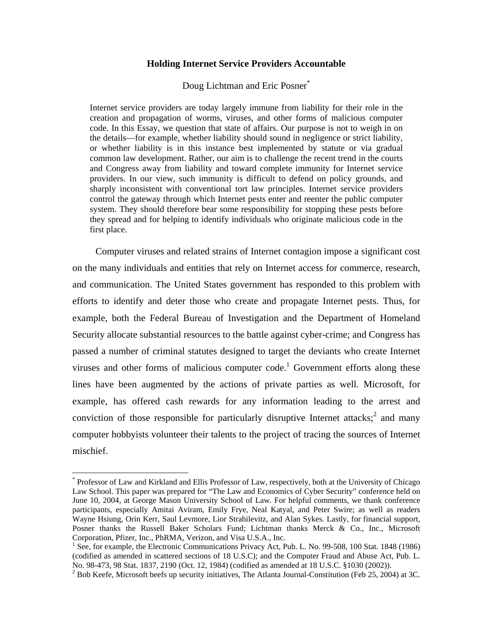#### **Holding Internet Service Providers Accountable**

Doug Lichtman and Eric Posne[r\\*](#page-2-0)

Internet service providers are today largely immune from liability for their role in the creation and propagation of worms, viruses, and other forms of malicious computer code. In this Essay, we question that state of affairs. Our purpose is not to weigh in on the details—for example, whether liability should sound in negligence or strict liability, or whether liability is in this instance best implemented by statute or via gradual common law development. Rather, our aim is to challenge the recent trend in the courts and Congress away from liability and toward complete immunity for Internet service providers. In our view, such immunity is difficult to defend on policy grounds, and sharply inconsistent with conventional tort law principles. Internet service providers control the gateway through which Internet pests enter and reenter the public computer system. They should therefore bear some responsibility for stopping these pests before they spread and for helping to identify individuals who originate malicious code in the first place.

Computer viruses and related strains of Internet contagion impose a significant cost on the many individuals and entities that rely on Internet access for commerce, research, and communication. The United States government has responded to this problem with efforts to identify and deter those who create and propagate Internet pests. Thus, for example, both the Federal Bureau of Investigation and the Department of Homeland Security allocate substantial resources to the battle against cyber-crime; and Congress has passed a number of criminal statutes designed to target the deviants who create Internet viruses and other forms of malicious computer  $code$ . Government efforts along these lines have been augmented by the actions of private parties as well. Microsoft, for example, has offered cash rewards for any information leading to the arrest and conviction of those responsible for particularly disruptive Internet attacks;<sup>[2](#page-2-2)</sup> and many computer hobbyists volunteer their talents to the project of tracing the sources of Internet mischief.

<span id="page-2-0"></span><sup>\*</sup> Professor of Law and Kirkland and Ellis Professor of Law, respectively, both at the University of Chicago Law School. This paper was prepared for "The Law and Economics of Cyber Security" conference held on June 10, 2004, at George Mason University School of Law. For helpful comments, we thank conference participants, especially Amitai Aviram, Emily Frye, Neal Katyal, and Peter Swire; as well as readers Wayne Hsiung, Orin Kerr, Saul Levmore, Lior Strahilevitz, and Alan Sykes. Lastly, for financial support, Posner thanks the Russell Baker Scholars Fund; Lichtman thanks Merck & Co., Inc., Microsoft Corporation, Pfizer, Inc., PhRMA, Verizon, and Visa U.S.A., Inc.<br><sup>1</sup> See, for example, the Electronic Communications Privacy Act, Pub. L. No. 99-508, 100 Stat. 1848 (1986)

<span id="page-2-1"></span><sup>(</sup>codified as amended in scattered sections of 18 U.S.C); and the Computer Fraud and Abuse Act, Pub. L. No. 98-473, 98 Stat. 1837, 2190 (Oct. 12, 1984) (codified as amended at 18 U.S.C. §1030 (2002)). 2

<span id="page-2-2"></span> $^2$  Bob Keefe, Microsoft beefs up security initiatives, The Atlanta Journal-Constitution (Feb 25, 2004) at 3C.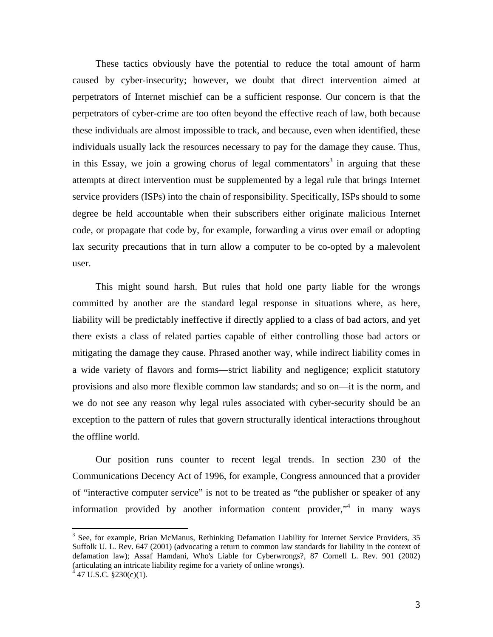These tactics obviously have the potential to reduce the total amount of harm caused by cyber-insecurity; however, we doubt that direct intervention aimed at perpetrators of Internet mischief can be a sufficient response. Our concern is that the perpetrators of cyber-crime are too often beyond the effective reach of law, both because these individuals are almost impossible to track, and because, even when identified, these individuals usually lack the resources necessary to pay for the damage they cause. Thus, in this Essay, we join a growing chorus of legal commentators<sup>[3](#page-3-0)</sup> in arguing that these attempts at direct intervention must be supplemented by a legal rule that brings Internet service providers (ISPs) into the chain of responsibility. Specifically, ISPs should to some degree be held accountable when their subscribers either originate malicious Internet code, or propagate that code by, for example, forwarding a virus over email or adopting lax security precautions that in turn allow a computer to be co-opted by a malevolent user.

This might sound harsh. But rules that hold one party liable for the wrongs committed by another are the standard legal response in situations where, as here, liability will be predictably ineffective if directly applied to a class of bad actors, and yet there exists a class of related parties capable of either controlling those bad actors or mitigating the damage they cause. Phrased another way, while indirect liability comes in a wide variety of flavors and forms—strict liability and negligence; explicit statutory provisions and also more flexible common law standards; and so on—it is the norm, and we do not see any reason why legal rules associated with cyber-security should be an exception to the pattern of rules that govern structurally identical interactions throughout the offline world.

Our position runs counter to recent legal trends. In section 230 of the Communications Decency Act of 1996, for example, Congress announced that a provider of "interactive computer service" is not to be treated as "the publisher or speaker of any information provided by another information content provider,"<sup>4</sup> in many ways

 $\overline{a}$ 

<span id="page-3-0"></span><sup>&</sup>lt;sup>3</sup> See, for example, Brian McManus, Rethinking Defamation Liability for Internet Service Providers, 35 Suffolk U. L. Rev. 647 (2001) (advocating a return to common law standards for liability in the context of defamation law); Assaf Hamdani, Who's Liable for Cyberwrongs?, 87 Cornell L. Rev. 901 (2002) (articulating an intricate liability regime for a variety of online wrongs). 4

<span id="page-3-1"></span> $47 \text{ U.S.C. } $230 \text{ (c)}(1).$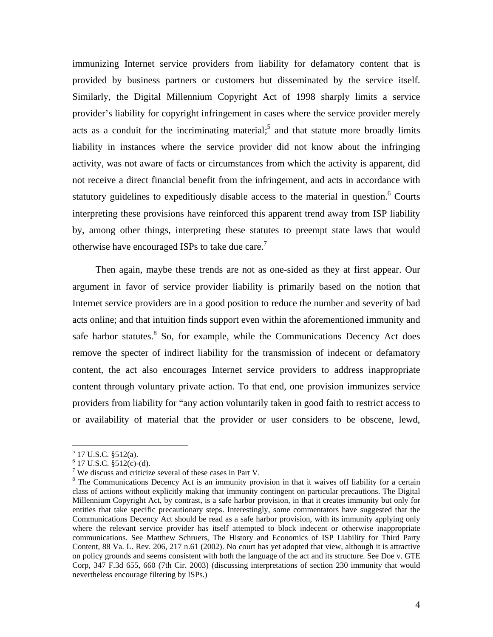immunizing Internet service providers from liability for defamatory content that is provided by business partners or customers but disseminated by the service itself. Similarly, the Digital Millennium Copyright Act of 1998 sharply limits a service provider's liability for copyright infringement in cases where the service provider merely acts as a conduit for the incriminating material;<sup>5</sup> and that statute more broadly limits liability in instances where the service provider did not know about the infringing activity, was not aware of facts or circumstances from which the activity is apparent, did not receive a direct financial benefit from the infringement, and acts in accordance with statutory guidelines to expeditiously disable access to the material in question.<sup>[6](#page-4-1)</sup> Courts interpreting these provisions have reinforced this apparent trend away from ISP liability by, among other things, interpreting these statutes to preempt state laws that would otherwise have encouraged ISPs to take due care.<sup>[7](#page-4-2)</sup>

Then again, maybe these trends are not as one-sided as they at first appear. Our argument in favor of service provider liability is primarily based on the notion that Internet service providers are in a good position to reduce the number and severity of bad acts online; and that intuition finds support even within the aforementioned immunity and safe harbor statutes.<sup>[8](#page-4-3)</sup> So, for example, while the Communications Decency Act does remove the specter of indirect liability for the transmission of indecent or defamatory content, the act also encourages Internet service providers to address inappropriate content through voluntary private action. To that end, one provision immunizes service providers from liability for "any action voluntarily taken in good faith to restrict access to or availability of material that the provider or user considers to be obscene, lewd,

<span id="page-4-0"></span> $^{5}$  17 U.S.C. §512(a).

<span id="page-4-1"></span> $6$  17 U.S.C. §512(c)-(d).

<span id="page-4-2"></span>We discuss and criticize several of these cases in Part V.

<span id="page-4-3"></span><sup>&</sup>lt;sup>8</sup> The Communications Decency Act is an immunity provision in that it waives off liability for a certain class of actions without explicitly making that immunity contingent on particular precautions. The Digital Millennium Copyright Act, by contrast, is a safe harbor provision, in that it creates immunity but only for entities that take specific precautionary steps. Interestingly, some commentators have suggested that the Communications Decency Act should be read as a safe harbor provision, with its immunity applying only where the relevant service provider has itself attempted to block indecent or otherwise inappropriate communications. See Matthew Schruers, The History and Economics of ISP Liability for Third Party Content, 88 Va. L. Rev. 206, 217 n.61 (2002). No court has yet adopted that view, although it is attractive on policy grounds and seems consistent with both the language of the act and its structure. See Doe v. GTE Corp, 347 F.3d 655, 660 (7th Cir. 2003) (discussing interpretations of section 230 immunity that would nevertheless encourage filtering by ISPs.)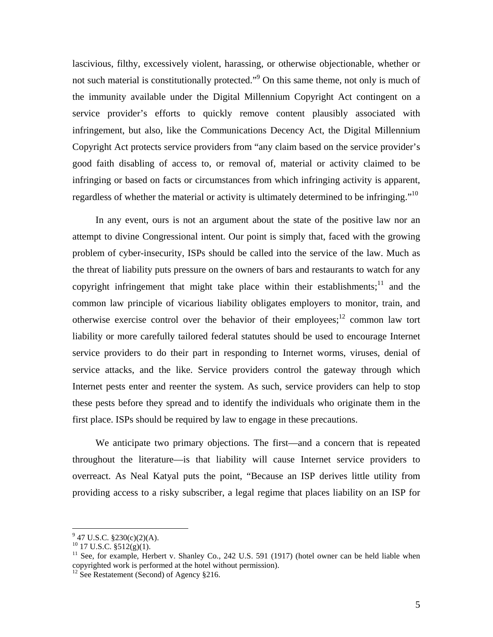lascivious, filthy, excessively violent, harassing, or otherwise objectionable, whether or not such material is constitutionally protected."<sup>[9](#page-5-0)</sup> On this same theme, not only is much of the immunity available under the Digital Millennium Copyright Act contingent on a service provider's efforts to quickly remove content plausibly associated with infringement, but also, like the Communications Decency Act, the Digital Millennium Copyright Act protects service providers from "any claim based on the service provider's good faith disabling of access to, or removal of, material or activity claimed to be infringing or based on facts or circumstances from which infringing activity is apparent, regardless of whether the material or activity is ultimately determined to be infringing.["10](#page-5-1)

In any event, ours is not an argument about the state of the positive law nor an attempt to divine Congressional intent. Our point is simply that, faced with the growing problem of cyber-insecurity, ISPs should be called into the service of the law. Much as the threat of liability puts pressure on the owners of bars and restaurants to watch for any copyright infringement that might take place within their establishments; $11$  and the common law principle of vicarious liability obligates employers to monitor, train, and otherwise exercise control over the behavior of their employees;  $12$  common law tort liability or more carefully tailored federal statutes should be used to encourage Internet service providers to do their part in responding to Internet worms, viruses, denial of service attacks, and the like. Service providers control the gateway through which Internet pests enter and reenter the system. As such, service providers can help to stop these pests before they spread and to identify the individuals who originate them in the first place. ISPs should be required by law to engage in these precautions.

We anticipate two primary objections. The first—and a concern that is repeated throughout the literature—is that liability will cause Internet service providers to overreact. As Neal Katyal puts the point, "Because an ISP derives little utility from providing access to a risky subscriber, a legal regime that places liability on an ISP for

 $\overline{a}$ 

<span id="page-5-0"></span> $9$  47 U.S.C. §230(c)(2)(A).

<span id="page-5-2"></span><span id="page-5-1"></span>

<sup>&</sup>lt;sup>10</sup> 17 U.S.C. §512(g)(1). <sup>11</sup> See, for example, Herbert v. Shanley Co., 242 U.S. 591 (1917) (hotel owner can be held liable when copyrighted work is performed at the hotel without permission). 12 See Restatement (Second) of Agency §216.

<span id="page-5-3"></span>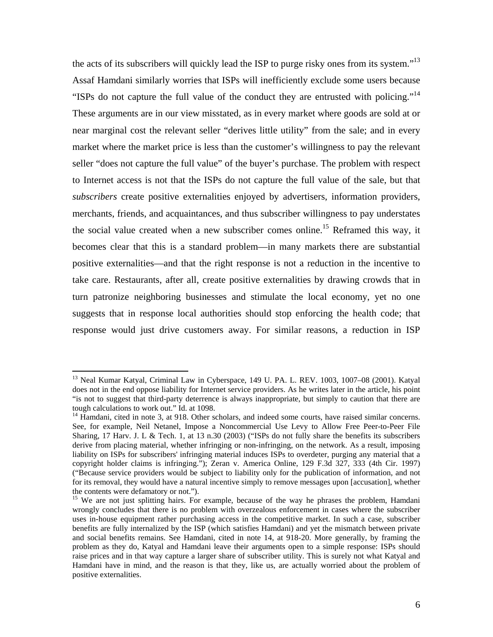the acts of its subscribers will quickly lead the ISP to purge risky ones from its system."<sup>13</sup> Assaf Hamdani similarly worries that ISPs will inefficiently exclude some users because "ISPs do not capture the full value of the conduct they are entrusted with policing."<sup>14</sup> These arguments are in our view misstated, as in every market where goods are sold at or near marginal cost the relevant seller "derives little utility" from the sale; and in every market where the market price is less than the customer's willingness to pay the relevant seller "does not capture the full value" of the buyer's purchase. The problem with respect to Internet access is not that the ISPs do not capture the full value of the sale, but that *subscribers* create positive externalities enjoyed by advertisers, information providers, merchants, friends, and acquaintances, and thus subscriber willingness to pay understates the social value created when a new subscriber comes online.<sup>15</sup> Reframed this way, it becomes clear that this is a standard problem—in many markets there are substantial positive externalities—and that the right response is not a reduction in the incentive to take care. Restaurants, after all, create positive externalities by drawing crowds that in turn patronize neighboring businesses and stimulate the local economy, yet no one suggests that in response local authorities should stop enforcing the health code; that response would just drive customers away. For similar reasons, a reduction in ISP

 $\overline{a}$ 

<span id="page-6-0"></span><sup>&</sup>lt;sup>13</sup> Neal Kumar Katyal, Criminal Law in Cyberspace, 149 U. PA. L. REV. 1003, 1007-08 (2001). Katyal does not in the end oppose liability for Internet service providers. As he writes later in the article, his point "is not to suggest that third-party deterrence is always inappropriate, but simply to caution that there are tough calculations to work out." Id. at 1098.<br><sup>14</sup> Hamdani, cited in note 3, at 918. Other scholars, and indeed some courts, have raised similar concerns.

<span id="page-6-1"></span>See, for example, Neil Netanel, Impose a Noncommercial Use Levy to Allow Free Peer-to-Peer File Sharing, 17 Harv. J. L & Tech. 1, at 13 n.30 (2003) ("ISPs do not fully share the benefits its subscribers derive from placing material, whether infringing or non-infringing, on the network. As a result, imposing liability on ISPs for subscribers' infringing material induces ISPs to overdeter, purging any material that a copyright holder claims is infringing."); Zeran v. America Online, 129 F.3d 327, 333 (4th Cir. 1997) ("Because service providers would be subject to liability only for the publication of information, and not for its removal, they would have a natural incentive simply to remove messages upon [accusation], whether the contents were defamatory or not.").

<span id="page-6-2"></span><sup>&</sup>lt;sup>15</sup> We are not just splitting hairs. For example, because of the way he phrases the problem, Hamdani wrongly concludes that there is no problem with overzealous enforcement in cases where the subscriber uses in-house equipment rather purchasing access in the competitive market. In such a case, subscriber benefits are fully internalized by the ISP (which satisfies Hamdani) and yet the mismatch between private and social benefits remains. See Hamdani, cited in note 14, at 918-20. More generally, by framing the problem as they do, Katyal and Hamdani leave their arguments open to a simple response: ISPs should raise prices and in that way capture a larger share of subscriber utility. This is surely not what Katyal and Hamdani have in mind, and the reason is that they, like us, are actually worried about the problem of positive externalities.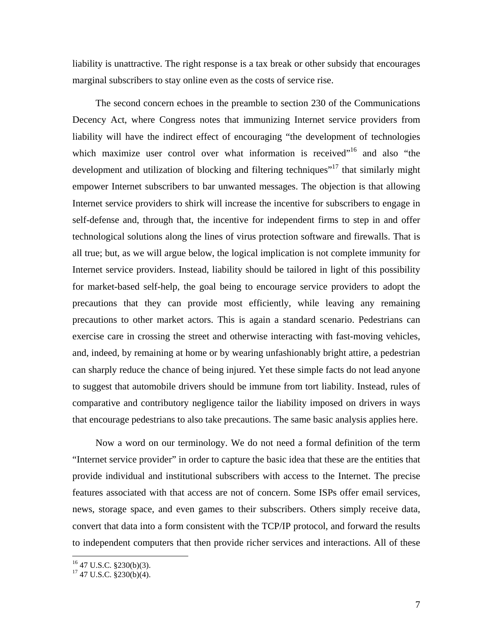liability is unattractive. The right response is a tax break or other subsidy that encourages marginal subscribers to stay online even as the costs of service rise.

The second concern echoes in the preamble to section 230 of the Communications Decency Act, where Congress notes that immunizing Internet service providers from liability will have the indirect effect of encouraging "the development of technologies which maximize user control over what information is received $^{16}$  and also "the development and utilization of blocking and filtering techniques<sup> $17$ </sup> that similarly might empower Internet subscribers to bar unwanted messages. The objection is that allowing Internet service providers to shirk will increase the incentive for subscribers to engage in self-defense and, through that, the incentive for independent firms to step in and offer technological solutions along the lines of virus protection software and firewalls. That is all true; but, as we will argue below, the logical implication is not complete immunity for Internet service providers. Instead, liability should be tailored in light of this possibility for market-based self-help, the goal being to encourage service providers to adopt the precautions that they can provide most efficiently, while leaving any remaining precautions to other market actors. This is again a standard scenario. Pedestrians can exercise care in crossing the street and otherwise interacting with fast-moving vehicles, and, indeed, by remaining at home or by wearing unfashionably bright attire, a pedestrian can sharply reduce the chance of being injured. Yet these simple facts do not lead anyone to suggest that automobile drivers should be immune from tort liability. Instead, rules of comparative and contributory negligence tailor the liability imposed on drivers in ways that encourage pedestrians to also take precautions. The same basic analysis applies here.

Now a word on our terminology. We do not need a formal definition of the term "Internet service provider" in order to capture the basic idea that these are the entities that provide individual and institutional subscribers with access to the Internet. The precise features associated with that access are not of concern. Some ISPs offer email services, news, storage space, and even games to their subscribers. Others simply receive data, convert that data into a form consistent with the TCP/IP protocol, and forward the results to independent computers that then provide richer services and interactions. All of these

<span id="page-7-1"></span>

<span id="page-7-0"></span><sup>&</sup>lt;sup>16</sup> 47 U.S.C. §230(b)(3).<br><sup>17</sup> 47 U.S.C. §230(b)(4).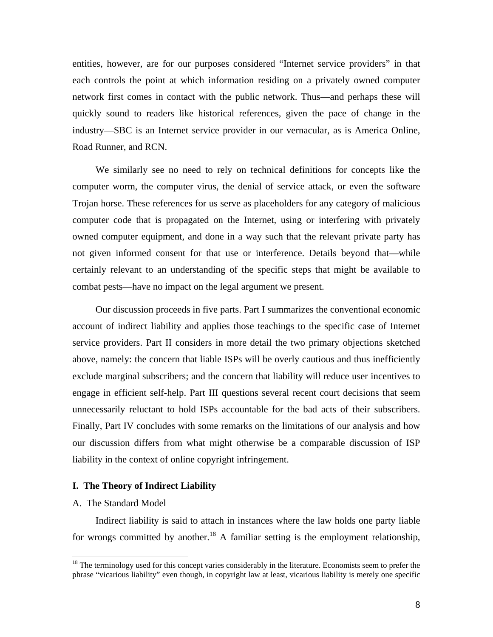<span id="page-8-0"></span>entities, however, are for our purposes considered "Internet service providers" in that each controls the point at which information residing on a privately owned computer network first comes in contact with the public network. Thus—and perhaps these will quickly sound to readers like historical references, given the pace of change in the industry—SBC is an Internet service provider in our vernacular, as is America Online, Road Runner, and RCN.

We similarly see no need to rely on technical definitions for concepts like the computer worm, the computer virus, the denial of service attack, or even the software Trojan horse. These references for us serve as placeholders for any category of malicious computer code that is propagated on the Internet, using or interfering with privately owned computer equipment, and done in a way such that the relevant private party has not given informed consent for that use or interference. Details beyond that—while certainly relevant to an understanding of the specific steps that might be available to combat pests—have no impact on the legal argument we present.

Our discussion proceeds in five parts. Part I summarizes the conventional economic account of indirect liability and applies those teachings to the specific case of Internet service providers. Part II considers in more detail the two primary objections sketched above, namely: the concern that liable ISPs will be overly cautious and thus inefficiently exclude marginal subscribers; and the concern that liability will reduce user incentives to engage in efficient self-help. Part III questions several recent court decisions that seem unnecessarily reluctant to hold ISPs accountable for the bad acts of their subscribers. Finally, Part IV concludes with some remarks on the limitations of our analysis and how our discussion differs from what might otherwise be a comparable discussion of ISP liability in the context of online copyright infringement.

#### **I. The Theory of Indirect Liability**

#### A. The Standard Model

1

Indirect liability is said to attach in instances where the law holds one party liable for wrongs committed by another.<sup>18</sup> A familiar setting is the employment relationship,

<sup>&</sup>lt;sup>18</sup> The terminology used for this concept varies considerably in the literature. Economists seem to prefer the phrase "vicarious liability" even though, in copyright law at least, vicarious liability is merely one specific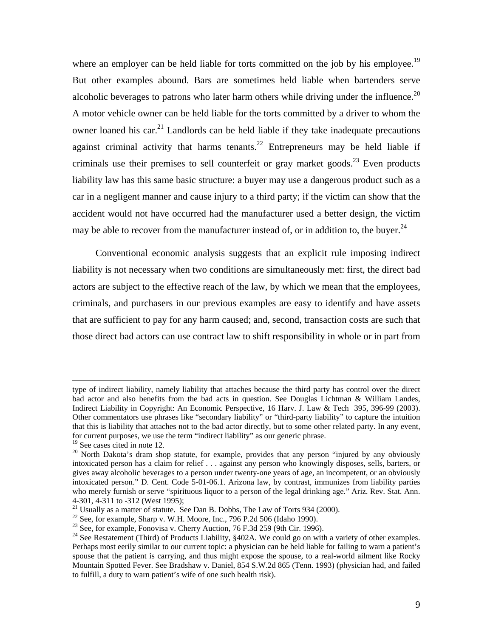where an employer can be held liable for torts committed on the job by his employee.<sup>[19](#page-9-0)</sup> But other examples abound. Bars are sometimes held liable when bartenders serve alcoholic beverages to patrons who later harm others while driving under the influence.<sup>20</sup> A motor vehicle owner can be held liable for the torts committed by a driver to whom the owner loaned his car.<sup>21</sup> Landlords can be held liable if they take inadequate precautions against criminal activity that harms tenants.<sup>22</sup> Entrepreneurs may be held liable if criminals use their premises to sell counterfeit or gray market goods.<sup>23</sup> Even products liability law has this same basic structure: a buyer may use a dangerous product such as a car in a negligent manner and cause injury to a third party; if the victim can show that the accident would not have occurred had the manufacturer used a better design, the victim may be able to recover from the manufacturer instead of, or in addition to, the buyer.<sup>24</sup>

Conventional economic analysis suggests that an explicit rule imposing indirect liability is not necessary when two conditions are simultaneously met: first, the direct bad actors are subject to the effective reach of the law, by which we mean that the employees, criminals, and purchasers in our previous examples are easy to identify and have assets that are sufficient to pay for any harm caused; and, second, transaction costs are such that those direct bad actors can use contract law to shift responsibility in whole or in part from

type of indirect liability, namely liability that attaches because the third party has control over the direct bad actor and also benefits from the bad acts in question. See Douglas Lichtman & William Landes, Indirect Liability in Copyright: An Economic Perspective, 16 Harv. J. Law & Tech 395, 396-99 (2003). Other commentators use phrases like "secondary liability" or "third-party liability" to capture the intuition that this is liability that attaches not to the bad actor directly, but to some other related party. In any event, for current purposes, we use the term "indirect liability" as our generic phrase.

<span id="page-9-0"></span><sup>&</sup>lt;sup>19</sup> See cases cited in note 12.

<span id="page-9-1"></span><sup>&</sup>lt;sup>20</sup> North Dakota's dram shop statute, for example, provides that any person "injured by any obviously intoxicated person has a claim for relief . . . against any person who knowingly disposes, sells, barters, or gives away alcoholic beverages to a person under twenty-one years of age, an incompetent, or an obviously intoxicated person." D. Cent. Code 5-01-06.1. Arizona law, by contrast, immunizes from liability parties who merely furnish or serve "spirituous liquor to a person of the legal drinking age." Ariz. Rev. Stat. Ann. 4-301, 4-311 to -312 (West 1995);<br>
<sup>21</sup> Usually as a matter of statute. See Dan B. Dobbs, The Law of Torts 934 (2000).<br>
<sup>22</sup> See, for example, Sharp v. W.H. Moore, Inc., 796 P.2d 506 (Idaho 1990).<br>
<sup>23</sup> See, for example,

<span id="page-9-2"></span>

<span id="page-9-3"></span>

<span id="page-9-4"></span>

<span id="page-9-5"></span>Perhaps most eerily similar to our current topic: a physician can be held liable for failing to warn a patient's spouse that the patient is carrying, and thus might expose the spouse, to a real-world ailment like Rocky Mountain Spotted Fever. See Bradshaw v. Daniel, 854 S.W.2d 865 (Tenn. 1993) (physician had, and failed to fulfill, a duty to warn patient's wife of one such health risk).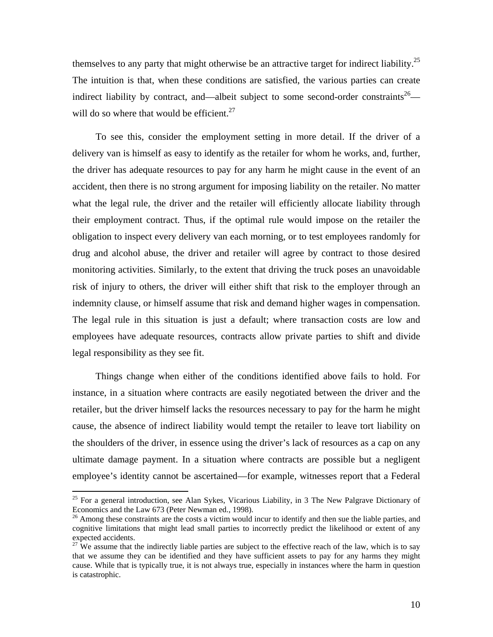themselves to any party that might otherwise be an attractive target for indirect liability.<sup>25</sup> The intuition is that, when these conditions are satisfied, the various parties can create indirect liability by contract, and—albeit subject to some second-order constraints<sup>26</sup> will do so where that would be efficient. $27$ 

To see this, consider the employment setting in more detail. If the driver of a delivery van is himself as easy to identify as the retailer for whom he works, and, further, the driver has adequate resources to pay for any harm he might cause in the event of an accident, then there is no strong argument for imposing liability on the retailer. No matter what the legal rule, the driver and the retailer will efficiently allocate liability through their employment contract. Thus, if the optimal rule would impose on the retailer the obligation to inspect every delivery van each morning, or to test employees randomly for drug and alcohol abuse, the driver and retailer will agree by contract to those desired monitoring activities. Similarly, to the extent that driving the truck poses an unavoidable risk of injury to others, the driver will either shift that risk to the employer through an indemnity clause, or himself assume that risk and demand higher wages in compensation. The legal rule in this situation is just a default; where transaction costs are low and employees have adequate resources, contracts allow private parties to shift and divide legal responsibility as they see fit.

Things change when either of the conditions identified above fails to hold. For instance, in a situation where contracts are easily negotiated between the driver and the retailer, but the driver himself lacks the resources necessary to pay for the harm he might cause, the absence of indirect liability would tempt the retailer to leave tort liability on the shoulders of the driver, in essence using the driver's lack of resources as a cap on any ultimate damage payment. In a situation where contracts are possible but a negligent employee's identity cannot be ascertained—for example, witnesses report that a Federal

<span id="page-10-0"></span> $25$  For a general introduction, see Alan Sykes, Vicarious Liability, in 3 The New Palgrave Dictionary of Economics and the Law 673 (Peter Newman ed., 1998).<br><sup>26</sup> Among these constraints are the costs a victim would incur to identify and then sue the liable parties, and

<span id="page-10-1"></span>cognitive limitations that might lead small parties to incorrectly predict the likelihood or extent of any expected accidents.

<span id="page-10-2"></span><sup>&</sup>lt;sup>27</sup> We assume that the indirectly liable parties are subject to the effective reach of the law, which is to say that we assume they can be identified and they have sufficient assets to pay for any harms they might cause. While that is typically true, it is not always true, especially in instances where the harm in question is catastrophic.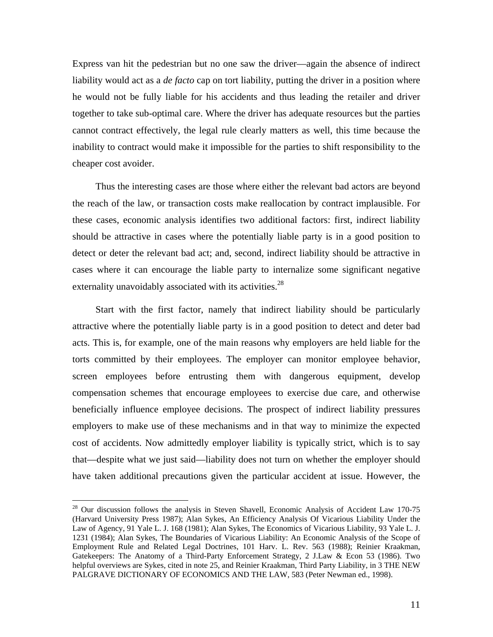Express van hit the pedestrian but no one saw the driver—again the absence of indirect liability would act as a *de facto* cap on tort liability, putting the driver in a position where he would not be fully liable for his accidents and thus leading the retailer and driver together to take sub-optimal care. Where the driver has adequate resources but the parties cannot contract effectively, the legal rule clearly matters as well, this time because the inability to contract would make it impossible for the parties to shift responsibility to the cheaper cost avoider.

Thus the interesting cases are those where either the relevant bad actors are beyond the reach of the law, or transaction costs make reallocation by contract implausible. For these cases, economic analysis identifies two additional factors: first, indirect liability should be attractive in cases where the potentially liable party is in a good position to detect or deter the relevant bad act; and, second, indirect liability should be attractive in cases where it can encourage the liable party to internalize some significant negative externality unavoidably associated with its activities.<sup>[28](#page-11-0)</sup>

Start with the first factor, namely that indirect liability should be particularly attractive where the potentially liable party is in a good position to detect and deter bad acts. This is, for example, one of the main reasons why employers are held liable for the torts committed by their employees. The employer can monitor employee behavior, screen employees before entrusting them with dangerous equipment, develop compensation schemes that encourage employees to exercise due care, and otherwise beneficially influence employee decisions. The prospect of indirect liability pressures employers to make use of these mechanisms and in that way to minimize the expected cost of accidents. Now admittedly employer liability is typically strict, which is to say that—despite what we just said—liability does not turn on whether the employer should have taken additional precautions given the particular accident at issue. However, the

 $\overline{a}$ 

<span id="page-11-0"></span><sup>&</sup>lt;sup>28</sup> Our discussion follows the analysis in Steven Shavell, Economic Analysis of Accident Law 170-75 (Harvard University Press 1987); Alan Sykes, An Efficiency Analysis Of Vicarious Liability Under the Law of Agency, 91 Yale L. J. 168 (1981); Alan Sykes, The Economics of Vicarious Liability, 93 Yale L. J. 1231 (1984); Alan Sykes, The Boundaries of Vicarious Liability: An Economic Analysis of the Scope of Employment Rule and Related Legal Doctrines, 101 Harv. L. Rev. 563 (1988); Reinier Kraakman, Gatekeepers: The Anatomy of a Third-Party Enforcement Strategy, 2 J.Law & Econ 53 (1986). Two helpful overviews are Sykes, cited in note 25, and Reinier Kraakman, Third Party Liability, in 3 THE NEW PALGRAVE DICTIONARY OF ECONOMICS AND THE LAW, 583 (Peter Newman ed., 1998).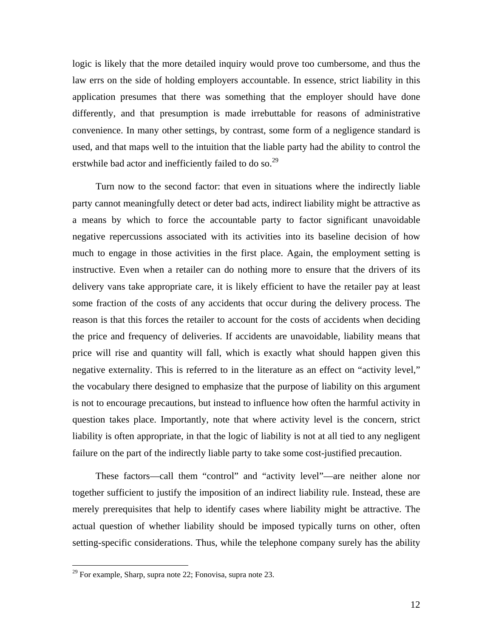logic is likely that the more detailed inquiry would prove too cumbersome, and thus the law errs on the side of holding employers accountable. In essence, strict liability in this application presumes that there was something that the employer should have done differently, and that presumption is made irrebuttable for reasons of administrative convenience. In many other settings, by contrast, some form of a negligence standard is used, and that maps well to the intuition that the liable party had the ability to control the erstwhile bad actor and inefficiently failed to do so.<sup>[29](#page-12-0)</sup>

Turn now to the second factor: that even in situations where the indirectly liable party cannot meaningfully detect or deter bad acts, indirect liability might be attractive as a means by which to force the accountable party to factor significant unavoidable negative repercussions associated with its activities into its baseline decision of how much to engage in those activities in the first place. Again, the employment setting is instructive. Even when a retailer can do nothing more to ensure that the drivers of its delivery vans take appropriate care, it is likely efficient to have the retailer pay at least some fraction of the costs of any accidents that occur during the delivery process. The reason is that this forces the retailer to account for the costs of accidents when deciding the price and frequency of deliveries. If accidents are unavoidable, liability means that price will rise and quantity will fall, which is exactly what should happen given this negative externality. This is referred to in the literature as an effect on "activity level," the vocabulary there designed to emphasize that the purpose of liability on this argument is not to encourage precautions, but instead to influence how often the harmful activity in question takes place. Importantly, note that where activity level is the concern, strict liability is often appropriate, in that the logic of liability is not at all tied to any negligent failure on the part of the indirectly liable party to take some cost-justified precaution.

These factors—call them "control" and "activity level"—are neither alone nor together sufficient to justify the imposition of an indirect liability rule. Instead, these are merely prerequisites that help to identify cases where liability might be attractive. The actual question of whether liability should be imposed typically turns on other, often setting-specific considerations. Thus, while the telephone company surely has the ability

<u>.</u>

<span id="page-12-0"></span> $29$  For example, Sharp, supra note 22; Fonovisa, supra note 23.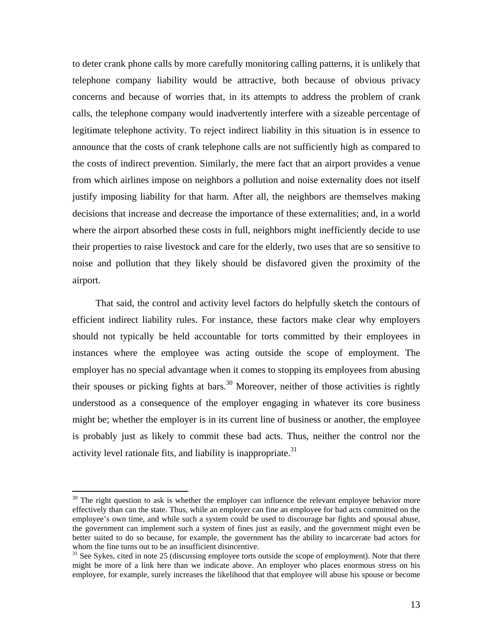<span id="page-13-1"></span>to deter crank phone calls by more carefully monitoring calling patterns, it is unlikely that telephone company liability would be attractive, both because of obvious privacy concerns and because of worries that, in its attempts to address the problem of crank calls, the telephone company would inadvertently interfere with a sizeable percentage of legitimate telephone activity. To reject indirect liability in this situation is in essence to announce that the costs of crank telephone calls are not sufficiently high as compared to the costs of indirect prevention. Similarly, the mere fact that an airport provides a venue from which airlines impose on neighbors a pollution and noise externality does not itself justify imposing liability for that harm. After all, the neighbors are themselves making decisions that increase and decrease the importance of these externalities; and, in a world where the airport absorbed these costs in full, neighbors might inefficiently decide to use their properties to raise livestock and care for the elderly, two uses that are so sensitive to noise and pollution that they likely should be disfavored given the proximity of the airport.

That said, the control and activity level factors do helpfully sketch the contours of efficient indirect liability rules. For instance, these factors make clear why employers should not typically be held accountable for torts committed by their employees in instances where the employee was acting outside the scope of employment. The employer has no special advantage when it comes to stopping its employees from abusing their spouses or picking fights at bars.<sup>30</sup> Moreover, neither of those activities is rightly understood as a consequence of the employer engaging in whatever its core business might be; whether the employer is in its current line of business or another, the employee is probably just as likely to commit these bad acts. Thus, neither the control nor the activity level rationale fits, and liability is inappropriate.<sup>31</sup>

<span id="page-13-0"></span> $30$  The right question to ask is whether the employer can influence the relevant employee behavior more effectively than can the state. Thus, while an employer can fine an employee for bad acts committed on the employee's own time, and while such a system could be used to discourage bar fights and spousal abuse, the government can implement such a system of fines just as easily, and the government might even be better suited to do so because, for example, the government has the ability to incarcerate bad actors for whom the fine turns out to be an insufficient disincentive.<br><sup>31</sup> See Sykes, cited in note 25 (discussing employee torts outside the scope of employment). Note that there

might be more of a link here than we indicate above. An employer who places enormous stress on his employee, for example, surely increases the likelihood that that employee will abuse his spouse or become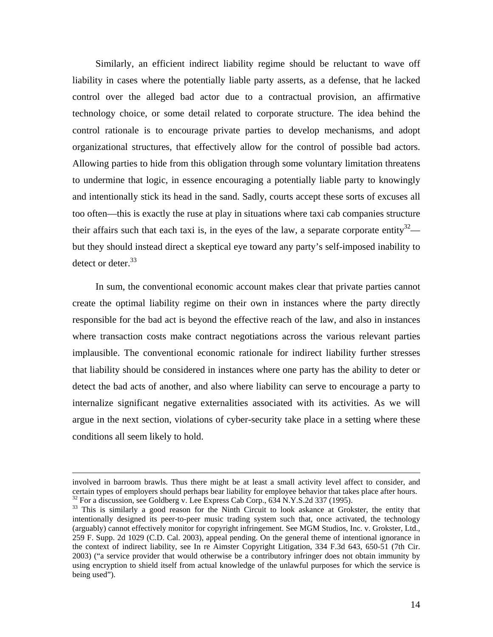Similarly, an efficient indirect liability regime should be reluctant to wave off liability in cases where the potentially liable party asserts, as a defense, that he lacked control over the alleged bad actor due to a contractual provision, an affirmative technology choice, or some detail related to corporate structure. The idea behind the control rationale is to encourage private parties to develop mechanisms, and adopt organizational structures, that effectively allow for the control of possible bad actors. Allowing parties to hide from this obligation through some voluntary limitation threatens to undermine that logic, in essence encouraging a potentially liable party to knowingly and intentionally stick its head in the sand. Sadly, courts accept these sorts of excuses all too often—this is exactly the ruse at play in situations where taxi cab companies structure their affairs such that each taxi is, in the eyes of the law, a separate corporate entity<sup>32</sup> but they should instead direct a skeptical eye toward any party's self-imposed inability to detect or deter.<sup>[33](#page-14-1)</sup>

In sum, the conventional economic account makes clear that private parties cannot create the optimal liability regime on their own in instances where the party directly responsible for the bad act is beyond the effective reach of the law, and also in instances where transaction costs make contract negotiations across the various relevant parties implausible. The conventional economic rationale for indirect liability further stresses that liability should be considered in instances where one party has the ability to deter or detect the bad acts of another, and also where liability can serve to encourage a party to internalize significant negative externalities associated with its activities. As we will argue in the next section, violations of cyber-security take place in a setting where these conditions all seem likely to hold.

involved in barroom brawls. Thus there might be at least a small activity level affect to consider, and  $^{32}$  For a discussion, see Goldberg v. Lee Express Cab Corp., 634 N.Y.S.2d 337 (1995).<br><sup>33</sup> This is similarly a good reason for the Ninth Circuit to look askance at Grokster, the entity that

<span id="page-14-1"></span><span id="page-14-0"></span>intentionally designed its peer-to-peer music trading system such that, once activated, the technology (arguably) cannot effectively monitor for copyright infringement. See MGM Studios, Inc. v. Grokster, Ltd., 259 F. Supp. 2d 1029 (C.D. Cal. 2003), appeal pending. On the general theme of intentional ignorance in the context of indirect liability, see In re Aimster Copyright Litigation, 334 F.3d 643, 650-51 (7th Cir. 2003) ("a service provider that would otherwise be a contributory infringer does not obtain immunity by using encryption to shield itself from actual knowledge of the unlawful purposes for which the service is being used").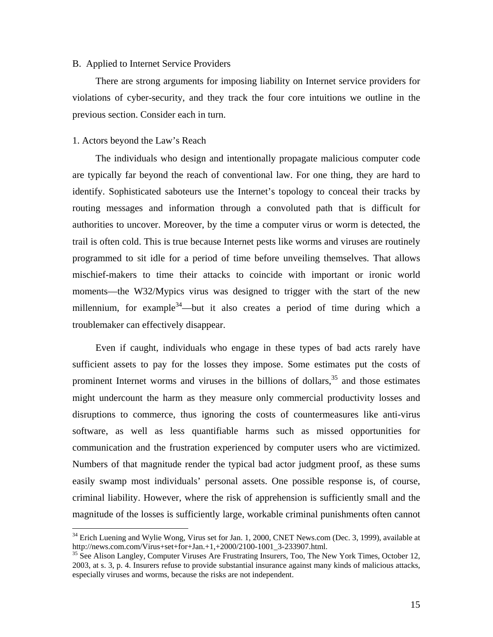#### B. Applied to Internet Service Providers

There are strong arguments for imposing liability on Internet service providers for violations of cyber-security, and they track the four core intuitions we outline in the previous section. Consider each in turn.

#### 1. Actors beyond the Law's Reach

1

The individuals who design and intentionally propagate malicious computer code are typically far beyond the reach of conventional law. For one thing, they are hard to identify. Sophisticated saboteurs use the Internet's topology to conceal their tracks by routing messages and information through a convoluted path that is difficult for authorities to uncover. Moreover, by the time a computer virus or worm is detected, the trail is often cold. This is true because Internet pests like worms and viruses are routinely programmed to sit idle for a period of time before unveiling themselves. That allows mischief-makers to time their attacks to coincide with important or ironic world moments—the W32/Mypics virus was designed to trigger with the start of the new millennium, for example<sup>34</sup>—but it also creates a period of time during which a troublemaker can effectively disappear.

Even if caught, individuals who engage in these types of bad acts rarely have sufficient assets to pay for the losses they impose. Some estimates put the costs of prominent Internet worms and viruses in the billions of dollars,  $35$  and those estimates might undercount the harm as they measure only commercial productivity losses and disruptions to commerce, thus ignoring the costs of countermeasures like anti-virus software, as well as less quantifiable harms such as missed opportunities for communication and the frustration experienced by computer users who are victimized. Numbers of that magnitude render the typical bad actor judgment proof, as these sums easily swamp most individuals' personal assets. One possible response is, of course, criminal liability. However, where the risk of apprehension is sufficiently small and the magnitude of the losses is sufficiently large, workable criminal punishments often cannot

<span id="page-15-0"></span> $34$  Erich Luening and Wylie Wong, Virus set for Jan. 1, 2000, CNET News.com (Dec. 3, 1999), available at http://news.com.com/Virus+set+for+Jan.+1,+2000/2100-1001 3-233907.html.

<span id="page-15-1"></span> $h<sup>35</sup>$  See Alison Langley, Computer Viruses Are Frustrating Insurers, Too, The New York Times, October 12, 2003, at s. 3, p. 4. Insurers refuse to provide substantial insurance against many kinds of malicious attacks, especially viruses and worms, because the risks are not independent.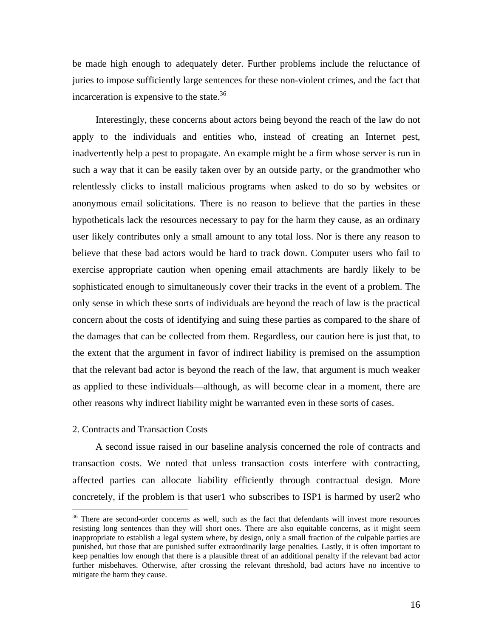be made high enough to adequately deter. Further problems include the reluctance of juries to impose sufficiently large sentences for these non-violent crimes, and the fact that incarceration is expensive to the state.<sup>36</sup>

Interestingly, these concerns about actors being beyond the reach of the law do not apply to the individuals and entities who, instead of creating an Internet pest, inadvertently help a pest to propagate. An example might be a firm whose server is run in such a way that it can be easily taken over by an outside party, or the grandmother who relentlessly clicks to install malicious programs when asked to do so by websites or anonymous email solicitations. There is no reason to believe that the parties in these hypotheticals lack the resources necessary to pay for the harm they cause, as an ordinary user likely contributes only a small amount to any total loss. Nor is there any reason to believe that these bad actors would be hard to track down. Computer users who fail to exercise appropriate caution when opening email attachments are hardly likely to be sophisticated enough to simultaneously cover their tracks in the event of a problem. The only sense in which these sorts of individuals are beyond the reach of law is the practical concern about the costs of identifying and suing these parties as compared to the share of the damages that can be collected from them. Regardless, our caution here is just that, to the extent that the argument in favor of indirect liability is premised on the assumption that the relevant bad actor is beyond the reach of the law, that argument is much weaker as applied to these individuals—although, as will become clear in a moment, there are other reasons why indirect liability might be warranted even in these sorts of cases.

#### 2. Contracts and Transaction Costs

<u>.</u>

A second issue raised in our baseline analysis concerned the role of contracts and transaction costs. We noted that unless transaction costs interfere with contracting, affected parties can allocate liability efficiently through contractual design. More concretely, if the problem is that user1 who subscribes to ISP1 is harmed by user2 who

<span id="page-16-0"></span><sup>&</sup>lt;sup>36</sup> There are second-order concerns as well, such as the fact that defendants will invest more resources resisting long sentences than they will short ones. There are also equitable concerns, as it might seem inappropriate to establish a legal system where, by design, only a small fraction of the culpable parties are punished, but those that are punished suffer extraordinarily large penalties. Lastly, it is often important to keep penalties low enough that there is a plausible threat of an additional penalty if the relevant bad actor further misbehaves. Otherwise, after crossing the relevant threshold, bad actors have no incentive to mitigate the harm they cause.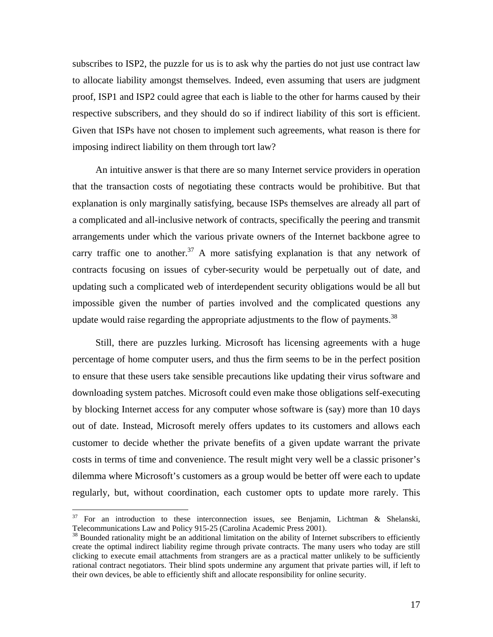subscribes to ISP2, the puzzle for us is to ask why the parties do not just use contract law to allocate liability amongst themselves. Indeed, even assuming that users are judgment proof, ISP1 and ISP2 could agree that each is liable to the other for harms caused by their respective subscribers, and they should do so if indirect liability of this sort is efficient. Given that ISPs have not chosen to implement such agreements, what reason is there for imposing indirect liability on them through tort law?

An intuitive answer is that there are so many Internet service providers in operation that the transaction costs of negotiating these contracts would be prohibitive. But that explanation is only marginally satisfying, because ISPs themselves are already all part of a complicated and all-inclusive network of contracts, specifically the peering and transmit arrangements under which the various private owners of the Internet backbone agree to carry traffic one to another.<sup>37</sup> A more satisfying explanation is that any network of contracts focusing on issues of cyber-security would be perpetually out of date, and updating such a complicated web of interdependent security obligations would be all but impossible given the number of parties involved and the complicated questions any update would raise regarding the appropriate adjustments to the flow of payments.<sup>38</sup>

Still, there are puzzles lurking. Microsoft has licensing agreements with a huge percentage of home computer users, and thus the firm seems to be in the perfect position to ensure that these users take sensible precautions like updating their virus software and downloading system patches. Microsoft could even make those obligations self-executing by blocking Internet access for any computer whose software is (say) more than 10 days out of date. Instead, Microsoft merely offers updates to its customers and allows each customer to decide whether the private benefits of a given update warrant the private costs in terms of time and convenience. The result might very well be a classic prisoner's dilemma where Microsoft's customers as a group would be better off were each to update regularly, but, without coordination, each customer opts to update more rarely. This

<u>.</u>

<span id="page-17-0"></span><sup>&</sup>lt;sup>37</sup> For an introduction to these interconnection issues, see Benjamin, Lichtman & Shelanski, Telecommunications Law and Policy 915-25 (Carolina Academic Press 2001).

<span id="page-17-1"></span> $38$  Bounded rationality might be an additional limitation on the ability of Internet subscribers to efficiently create the optimal indirect liability regime through private contracts. The many users who today are still clicking to execute email attachments from strangers are as a practical matter unlikely to be sufficiently rational contract negotiators. Their blind spots undermine any argument that private parties will, if left to their own devices, be able to efficiently shift and allocate responsibility for online security.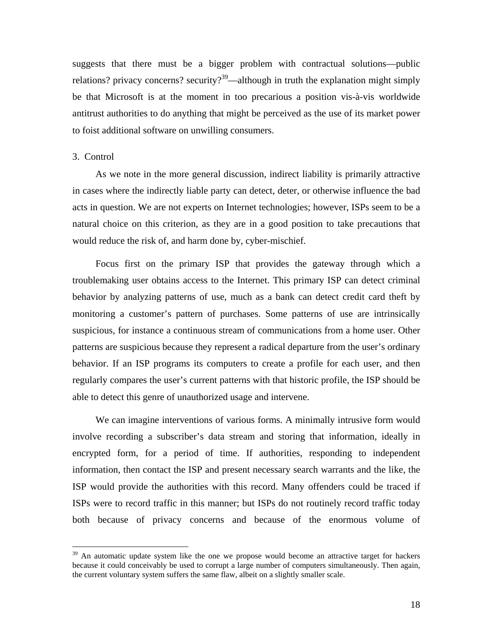suggests that there must be a bigger problem with contractual solutions—public relations? privacy concerns? security?<sup>39</sup>—although in truth the explanation might simply be that Microsoft is at the moment in too precarious a position vis-à-vis worldwide antitrust authorities to do anything that might be perceived as the use of its market power to foist additional software on unwilling consumers.

#### 3. Control

1

As we note in the more general discussion, indirect liability is primarily attractive in cases where the indirectly liable party can detect, deter, or otherwise influence the bad acts in question. We are not experts on Internet technologies; however, ISPs seem to be a natural choice on this criterion, as they are in a good position to take precautions that would reduce the risk of, and harm done by, cyber-mischief.

Focus first on the primary ISP that provides the gateway through which a troublemaking user obtains access to the Internet. This primary ISP can detect criminal behavior by analyzing patterns of use, much as a bank can detect credit card theft by monitoring a customer's pattern of purchases. Some patterns of use are intrinsically suspicious, for instance a continuous stream of communications from a home user. Other patterns are suspicious because they represent a radical departure from the user's ordinary behavior. If an ISP programs its computers to create a profile for each user, and then regularly compares the user's current patterns with that historic profile, the ISP should be able to detect this genre of unauthorized usage and intervene.

We can imagine interventions of various forms. A minimally intrusive form would involve recording a subscriber's data stream and storing that information, ideally in encrypted form, for a period of time. If authorities, responding to independent information, then contact the ISP and present necessary search warrants and the like, the ISP would provide the authorities with this record. Many offenders could be traced if ISPs were to record traffic in this manner; but ISPs do not routinely record traffic today both because of privacy concerns and because of the enormous volume of

<span id="page-18-0"></span><sup>&</sup>lt;sup>39</sup> An automatic update system like the one we propose would become an attractive target for hackers because it could conceivably be used to corrupt a large number of computers simultaneously. Then again, the current voluntary system suffers the same flaw, albeit on a slightly smaller scale.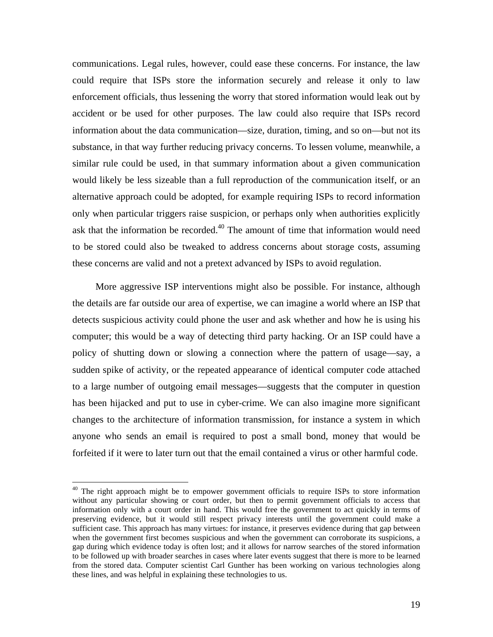communications. Legal rules, however, could ease these concerns. For instance, the law could require that ISPs store the information securely and release it only to law enforcement officials, thus lessening the worry that stored information would leak out by accident or be used for other purposes. The law could also require that ISPs record information about the data communication—size, duration, timing, and so on—but not its substance, in that way further reducing privacy concerns. To lessen volume, meanwhile, a similar rule could be used, in that summary information about a given communication would likely be less sizeable than a full reproduction of the communication itself, or an alternative approach could be adopted, for example requiring ISPs to record information only when particular triggers raise suspicion, or perhaps only when authorities explicitly ask that the information be recorded.<sup>40</sup> The amount of time that information would need to be stored could also be tweaked to address concerns about storage costs, assuming these concerns are valid and not a pretext advanced by ISPs to avoid regulation.

More aggressive ISP interventions might also be possible. For instance, although the details are far outside our area of expertise, we can imagine a world where an ISP that detects suspicious activity could phone the user and ask whether and how he is using his computer; this would be a way of detecting third party hacking. Or an ISP could have a policy of shutting down or slowing a connection where the pattern of usage—say, a sudden spike of activity, or the repeated appearance of identical computer code attached to a large number of outgoing email messages—suggests that the computer in question has been hijacked and put to use in cyber-crime. We can also imagine more significant changes to the architecture of information transmission, for instance a system in which anyone who sends an email is required to post a small bond, money that would be forfeited if it were to later turn out that the email contained a virus or other harmful code.

<span id="page-19-0"></span><sup>&</sup>lt;sup>40</sup> The right approach might be to empower government officials to require ISPs to store information without any particular showing or court order, but then to permit government officials to access that information only with a court order in hand. This would free the government to act quickly in terms of preserving evidence, but it would still respect privacy interests until the government could make a sufficient case. This approach has many virtues: for instance, it preserves evidence during that gap between when the government first becomes suspicious and when the government can corroborate its suspicions, a gap during which evidence today is often lost; and it allows for narrow searches of the stored information to be followed up with broader searches in cases where later events suggest that there is more to be learned from the stored data. Computer scientist Carl Gunther has been working on various technologies along these lines, and was helpful in explaining these technologies to us.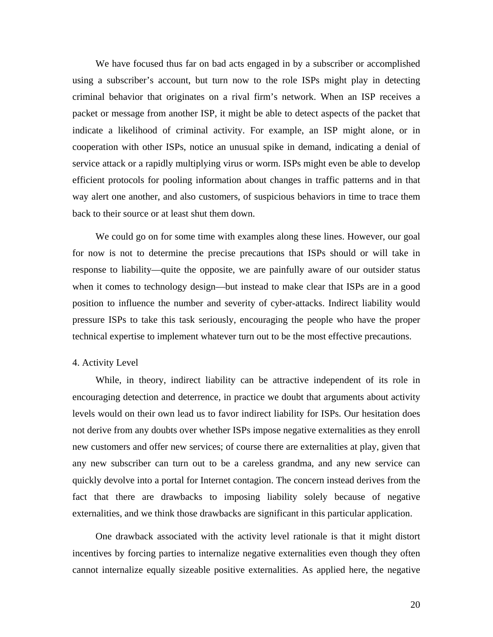We have focused thus far on bad acts engaged in by a subscriber or accomplished using a subscriber's account, but turn now to the role ISPs might play in detecting criminal behavior that originates on a rival firm's network. When an ISP receives a packet or message from another ISP, it might be able to detect aspects of the packet that indicate a likelihood of criminal activity. For example, an ISP might alone, or in cooperation with other ISPs, notice an unusual spike in demand, indicating a denial of service attack or a rapidly multiplying virus or worm. ISPs might even be able to develop efficient protocols for pooling information about changes in traffic patterns and in that way alert one another, and also customers, of suspicious behaviors in time to trace them back to their source or at least shut them down.

We could go on for some time with examples along these lines. However, our goal for now is not to determine the precise precautions that ISPs should or will take in response to liability—quite the opposite, we are painfully aware of our outsider status when it comes to technology design—but instead to make clear that ISPs are in a good position to influence the number and severity of cyber-attacks. Indirect liability would pressure ISPs to take this task seriously, encouraging the people who have the proper technical expertise to implement whatever turn out to be the most effective precautions.

#### 4. Activity Level

While, in theory, indirect liability can be attractive independent of its role in encouraging detection and deterrence, in practice we doubt that arguments about activity levels would on their own lead us to favor indirect liability for ISPs. Our hesitation does not derive from any doubts over whether ISPs impose negative externalities as they enroll new customers and offer new services; of course there are externalities at play, given that any new subscriber can turn out to be a careless grandma, and any new service can quickly devolve into a portal for Internet contagion. The concern instead derives from the fact that there are drawbacks to imposing liability solely because of negative externalities, and we think those drawbacks are significant in this particular application.

One drawback associated with the activity level rationale is that it might distort incentives by forcing parties to internalize negative externalities even though they often cannot internalize equally sizeable positive externalities. As applied here, the negative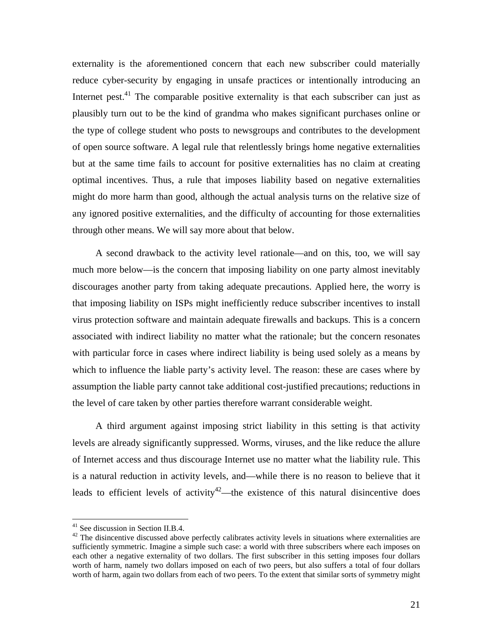<span id="page-21-1"></span>externality is the aforementioned concern that each new subscriber could materially reduce cyber-security by engaging in unsafe practices or intentionally introducing an Internet pest. $41$  The comparable positive externality is that each subscriber can just as plausibly turn out to be the kind of grandma who makes significant purchases online or the type of college student who posts to newsgroups and contributes to the development of open source software. A legal rule that relentlessly brings home negative externalities but at the same time fails to account for positive externalities has no claim at creating optimal incentives. Thus, a rule that imposes liability based on negative externalities might do more harm than good, although the actual analysis turns on the relative size of any ignored positive externalities, and the difficulty of accounting for those externalities through other means. We will say more about that below.

A second drawback to the activity level rationale—and on this, too, we will say much more below—is the concern that imposing liability on one party almost inevitably discourages another party from taking adequate precautions. Applied here, the worry is that imposing liability on ISPs might inefficiently reduce subscriber incentives to install virus protection software and maintain adequate firewalls and backups. This is a concern associated with indirect liability no matter what the rationale; but the concern resonates with particular force in cases where indirect liability is being used solely as a means by which to influence the liable party's activity level. The reason: these are cases where by assumption the liable party cannot take additional cost-justified precautions; reductions in the level of care taken by other parties therefore warrant considerable weight.

A third argument against imposing strict liability in this setting is that activity levels are already significantly suppressed. Worms, viruses, and the like reduce the allure of Internet access and thus discourage Internet use no matter what the liability rule. This is a natural reduction in activity levels, and—while there is no reason to believe that it leads to efficient levels of activity<sup>42</sup>—the existence of this natural disincentive does

<span id="page-21-0"></span><sup>&</sup>lt;sup>41</sup> See discussion in Section II.B.4.

 $42$  The disincentive discussed above perfectly calibrates activity levels in situations where externalities are sufficiently symmetric. Imagine a simple such case: a world with three subscribers where each imposes on each other a negative externality of two dollars. The first subscriber in this setting imposes four dollars worth of harm, namely two dollars imposed on each of two peers, but also suffers a total of four dollars worth of harm, again two dollars from each of two peers. To the extent that similar sorts of symmetry might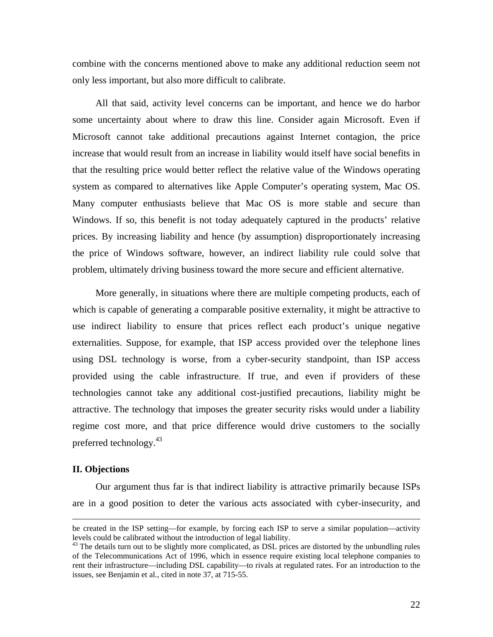combine with the concerns mentioned above to make any additional reduction seem not only less important, but also more difficult to calibrate.

All that said, activity level concerns can be important, and hence we do harbor some uncertainty about where to draw this line. Consider again Microsoft. Even if Microsoft cannot take additional precautions against Internet contagion, the price increase that would result from an increase in liability would itself have social benefits in that the resulting price would better reflect the relative value of the Windows operating system as compared to alternatives like Apple Computer's operating system, Mac OS. Many computer enthusiasts believe that Mac OS is more stable and secure than Windows. If so, this benefit is not today adequately captured in the products' relative prices. By increasing liability and hence (by assumption) disproportionately increasing the price of Windows software, however, an indirect liability rule could solve that problem, ultimately driving business toward the more secure and efficient alternative.

More generally, in situations where there are multiple competing products, each of which is capable of generating a comparable positive externality, it might be attractive to use indirect liability to ensure that prices reflect each product's unique negative externalities. Suppose, for example, that ISP access provided over the telephone lines using DSL technology is worse, from a cyber-security standpoint, than ISP access provided using the cable infrastructure. If true, and even if providers of these technologies cannot take any additional cost-justified precautions, liability might be attractive. The technology that imposes the greater security risks would under a liability regime cost more, and that price difference would drive customers to the socially preferred technology.[43](#page-22-0) 

#### **II. Objections**

Our argument thus far is that indirect liability is attractive primarily because ISPs are in a good position to deter the various acts associated with cyber-insecurity, and

be created in the ISP setting—for example, by forcing each ISP to serve a similar population—activity levels could be calibrated without the introduction of legal liability.<br><sup>43</sup> The details turn out to be slightly more complicated, as DSL prices are distorted by the unbundling rules

<span id="page-22-0"></span>of the Telecommunications Act of 1996, which in essence require existing local telephone companies to rent their infrastructure—including DSL capability—to rivals at regulated rates. For an introduction to the issues, see Benjamin et al., cited in note 37, at 715-55.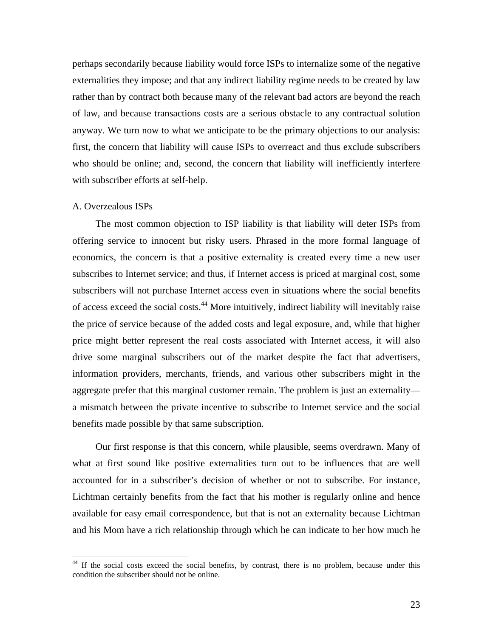perhaps secondarily because liability would force ISPs to internalize some of the negative externalities they impose; and that any indirect liability regime needs to be created by law rather than by contract both because many of the relevant bad actors are beyond the reach of law, and because transactions costs are a serious obstacle to any contractual solution anyway. We turn now to what we anticipate to be the primary objections to our analysis: first, the concern that liability will cause ISPs to overreact and thus exclude subscribers who should be online; and, second, the concern that liability will inefficiently interfere with subscriber efforts at self-help.

#### A. Overzealous ISPs

1

The most common objection to ISP liability is that liability will deter ISPs from offering service to innocent but risky users. Phrased in the more formal language of economics, the concern is that a positive externality is created every time a new user subscribes to Internet service; and thus, if Internet access is priced at marginal cost, some subscribers will not purchase Internet access even in situations where the social benefits of access exceed the social costs.<sup>44</sup> More intuitively, indirect liability will inevitably raise the price of service because of the added costs and legal exposure, and, while that higher price might better represent the real costs associated with Internet access, it will also drive some marginal subscribers out of the market despite the fact that advertisers, information providers, merchants, friends, and various other subscribers might in the aggregate prefer that this marginal customer remain. The problem is just an externality a mismatch between the private incentive to subscribe to Internet service and the social benefits made possible by that same subscription.

Our first response is that this concern, while plausible, seems overdrawn. Many of what at first sound like positive externalities turn out to be influences that are well accounted for in a subscriber's decision of whether or not to subscribe. For instance, Lichtman certainly benefits from the fact that his mother is regularly online and hence available for easy email correspondence, but that is not an externality because Lichtman and his Mom have a rich relationship through which he can indicate to her how much he

<span id="page-23-0"></span><sup>&</sup>lt;sup>44</sup> If the social costs exceed the social benefits, by contrast, there is no problem, because under this condition the subscriber should not be online.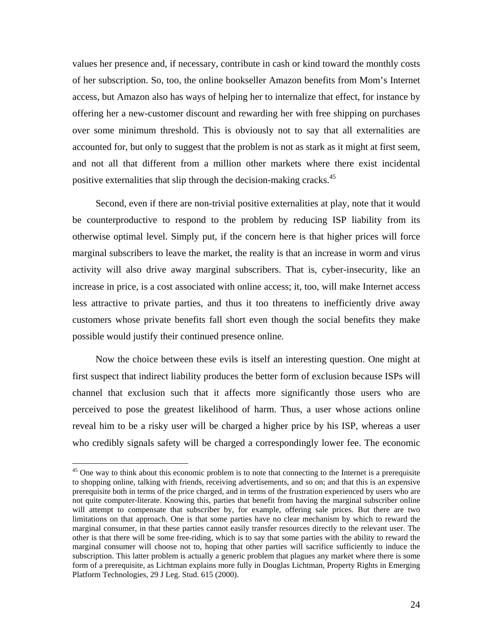values her presence and, if necessary, contribute in cash or kind toward the monthly costs of her subscription. So, too, the online bookseller Amazon benefits from Mom's Internet access, but Amazon also has ways of helping her to internalize that effect, for instance by offering her a new-customer discount and rewarding her with free shipping on purchases over some minimum threshold. This is obviously not to say that all externalities are accounted for, but only to suggest that the problem is not as stark as it might at first seem, and not all that different from a million other markets where there exist incidental positive externalities that slip through the decision-making cracks.<sup>[45](#page-24-0)</sup>

Second, even if there are non-trivial positive externalities at play, note that it would be counterproductive to respond to the problem by reducing ISP liability from its otherwise optimal level. Simply put, if the concern here is that higher prices will force marginal subscribers to leave the market, the reality is that an increase in worm and virus activity will also drive away marginal subscribers. That is, cyber-insecurity, like an increase in price, is a cost associated with online access; it, too, will make Internet access less attractive to private parties, and thus it too threatens to inefficiently drive away customers whose private benefits fall short even though the social benefits they make possible would justify their continued presence online.

Now the choice between these evils is itself an interesting question. One might at first suspect that indirect liability produces the better form of exclusion because ISPs will channel that exclusion such that it affects more significantly those users who are perceived to pose the greatest likelihood of harm. Thus, a user whose actions online reveal him to be a risky user will be charged a higher price by his ISP, whereas a user who credibly signals safety will be charged a correspondingly lower fee. The economic

<span id="page-24-0"></span><sup>&</sup>lt;sup>45</sup> One way to think about this economic problem is to note that connecting to the Internet is a prerequisite to shopping online, talking with friends, receiving advertisements, and so on; and that this is an expensive prerequisite both in terms of the price charged, and in terms of the frustration experienced by users who are not quite computer-literate. Knowing this, parties that benefit from having the marginal subscriber online will attempt to compensate that subscriber by, for example, offering sale prices. But there are two limitations on that approach. One is that some parties have no clear mechanism by which to reward the marginal consumer, in that these parties cannot easily transfer resources directly to the relevant user. The other is that there will be some free-riding, which is to say that some parties with the ability to reward the marginal consumer will choose not to, hoping that other parties will sacrifice sufficiently to induce the subscription. This latter problem is actually a generic problem that plagues any market where there is some form of a prerequisite, as Lichtman explains more fully in Douglas Lichtman, Property Rights in Emerging Platform Technologies, 29 J Leg. Stud. 615 (2000).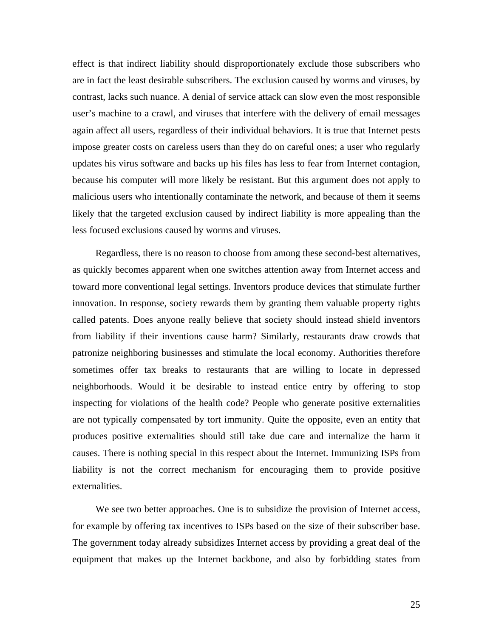effect is that indirect liability should disproportionately exclude those subscribers who are in fact the least desirable subscribers. The exclusion caused by worms and viruses, by contrast, lacks such nuance. A denial of service attack can slow even the most responsible user's machine to a crawl, and viruses that interfere with the delivery of email messages again affect all users, regardless of their individual behaviors. It is true that Internet pests impose greater costs on careless users than they do on careful ones; a user who regularly updates his virus software and backs up his files has less to fear from Internet contagion, because his computer will more likely be resistant. But this argument does not apply to malicious users who intentionally contaminate the network, and because of them it seems likely that the targeted exclusion caused by indirect liability is more appealing than the less focused exclusions caused by worms and viruses.

Regardless, there is no reason to choose from among these second-best alternatives, as quickly becomes apparent when one switches attention away from Internet access and toward more conventional legal settings. Inventors produce devices that stimulate further innovation. In response, society rewards them by granting them valuable property rights called patents. Does anyone really believe that society should instead shield inventors from liability if their inventions cause harm? Similarly, restaurants draw crowds that patronize neighboring businesses and stimulate the local economy. Authorities therefore sometimes offer tax breaks to restaurants that are willing to locate in depressed neighborhoods. Would it be desirable to instead entice entry by offering to stop inspecting for violations of the health code? People who generate positive externalities are not typically compensated by tort immunity. Quite the opposite, even an entity that produces positive externalities should still take due care and internalize the harm it causes. There is nothing special in this respect about the Internet. Immunizing ISPs from liability is not the correct mechanism for encouraging them to provide positive externalities.

We see two better approaches. One is to subsidize the provision of Internet access, for example by offering tax incentives to ISPs based on the size of their subscriber base. The government today already subsidizes Internet access by providing a great deal of the equipment that makes up the Internet backbone, and also by forbidding states from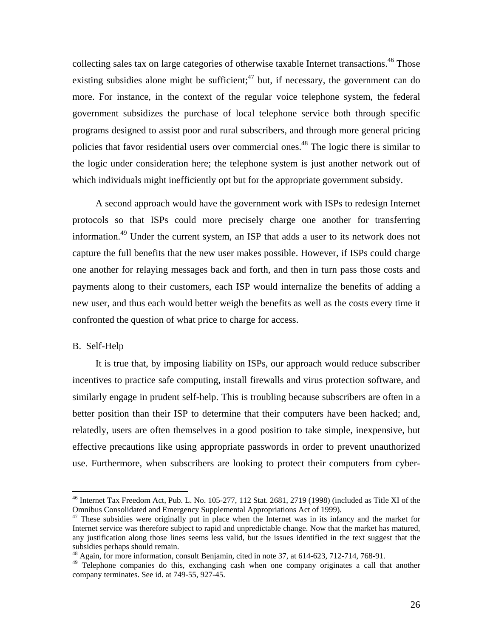collecting sales tax on large categories of otherwise taxable Internet transactions.<sup>46</sup> Those existing subsidies alone might be sufficient;  $47$  but, if necessary, the government can do more. For instance, in the context of the regular voice telephone system, the federal government subsidizes the purchase of local telephone service both through specific programs designed to assist poor and rural subscribers, and through more general pricing policies that favor residential users over commercial ones[.48](#page-26-2) The logic there is similar to the logic under consideration here; the telephone system is just another network out of which individuals might inefficiently opt but for the appropriate government subsidy.

A second approach would have the government work with ISPs to redesign Internet protocols so that ISPs could more precisely charge one another for transferring information.[49](#page-26-3) Under the current system, an ISP that adds a user to its network does not capture the full benefits that the new user makes possible. However, if ISPs could charge one another for relaying messages back and forth, and then in turn pass those costs and payments along to their customers, each ISP would internalize the benefits of adding a new user, and thus each would better weigh the benefits as well as the costs every time it confronted the question of what price to charge for access.

#### B. Self-Help

 $\overline{a}$ 

It is true that, by imposing liability on ISPs, our approach would reduce subscriber incentives to practice safe computing, install firewalls and virus protection software, and similarly engage in prudent self-help. This is troubling because subscribers are often in a better position than their ISP to determine that their computers have been hacked; and, relatedly, users are often themselves in a good position to take simple, inexpensive, but effective precautions like using appropriate passwords in order to prevent unauthorized use. Furthermore, when subscribers are looking to protect their computers from cyber-

<span id="page-26-0"></span><sup>46</sup> Internet Tax Freedom Act, Pub. L. No. 105-277, 112 Stat. 2681, 2719 (1998) (included as Title XI of the Omnibus Consolidated and Emergency Supplemental Appropriations Act of 1999).<br><sup>47</sup> These subsidies were originally put in place when the Internet was in its infancy and the market for

<span id="page-26-1"></span>Internet service was therefore subject to rapid and unpredictable change. Now that the market has matured, any justification along those lines seems less valid, but the issues identified in the text suggest that the subsidies perhaps should remain.<br><sup>48</sup> Again, for more information, consult Benjamin, cited in note 37, at 614-623, 712-714, 768-91.

<span id="page-26-2"></span>

<span id="page-26-3"></span><sup>&</sup>lt;sup>49</sup> Telephone companies do this, exchanging cash when one company originates a call that another company terminates. See id. at 749-55, 927-45.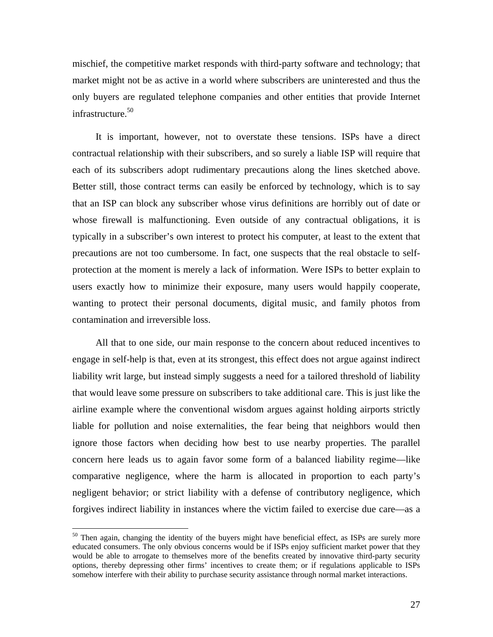mischief, the competitive market responds with third-party software and technology; that market might not be as active in a world where subscribers are uninterested and thus the only buyers are regulated telephone companies and other entities that provide Internet infrastructure.<sup>[50](#page-27-0)</sup>

It is important, however, not to overstate these tensions. ISPs have a direct contractual relationship with their subscribers, and so surely a liable ISP will require that each of its subscribers adopt rudimentary precautions along the lines sketched above. Better still, those contract terms can easily be enforced by technology, which is to say that an ISP can block any subscriber whose virus definitions are horribly out of date or whose firewall is malfunctioning. Even outside of any contractual obligations, it is typically in a subscriber's own interest to protect his computer, at least to the extent that precautions are not too cumbersome. In fact, one suspects that the real obstacle to selfprotection at the moment is merely a lack of information. Were ISPs to better explain to users exactly how to minimize their exposure, many users would happily cooperate, wanting to protect their personal documents, digital music, and family photos from contamination and irreversible loss.

All that to one side, our main response to the concern about reduced incentives to engage in self-help is that, even at its strongest, this effect does not argue against indirect liability writ large, but instead simply suggests a need for a tailored threshold of liability that would leave some pressure on subscribers to take additional care. This is just like the airline example where the conventional wisdom argues against holding airports strictly liable for pollution and noise externalities, the fear being that neighbors would then ignore those factors when deciding how best to use nearby properties. The parallel concern here leads us to again favor some form of a balanced liability regime—like comparative negligence, where the harm is allocated in proportion to each party's negligent behavior; or strict liability with a defense of contributory negligence, which forgives indirect liability in instances where the victim failed to exercise due care—as a

 $\overline{a}$ 

<span id="page-27-0"></span> $50$  Then again, changing the identity of the buyers might have beneficial effect, as ISPs are surely more educated consumers. The only obvious concerns would be if ISPs enjoy sufficient market power that they would be able to arrogate to themselves more of the benefits created by innovative third-party security options, thereby depressing other firms' incentives to create them; or if regulations applicable to ISPs somehow interfere with their ability to purchase security assistance through normal market interactions.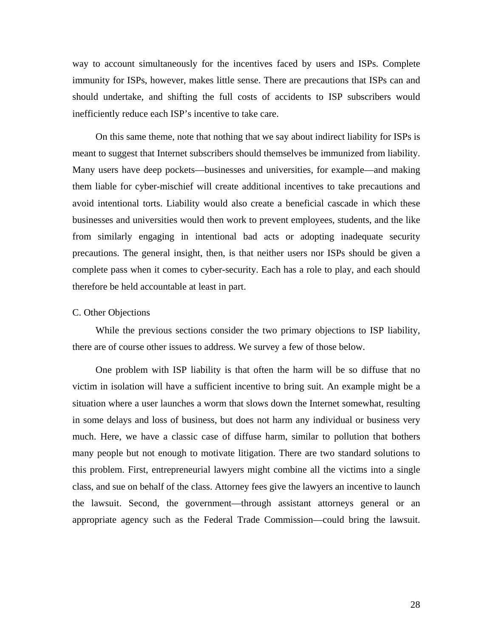way to account simultaneously for the incentives faced by users and ISPs. Complete immunity for ISPs, however, makes little sense. There are precautions that ISPs can and should undertake, and shifting the full costs of accidents to ISP subscribers would inefficiently reduce each ISP's incentive to take care.

On this same theme, note that nothing that we say about indirect liability for ISPs is meant to suggest that Internet subscribers should themselves be immunized from liability. Many users have deep pockets—businesses and universities, for example—and making them liable for cyber-mischief will create additional incentives to take precautions and avoid intentional torts. Liability would also create a beneficial cascade in which these businesses and universities would then work to prevent employees, students, and the like from similarly engaging in intentional bad acts or adopting inadequate security precautions. The general insight, then, is that neither users nor ISPs should be given a complete pass when it comes to cyber-security. Each has a role to play, and each should therefore be held accountable at least in part.

#### C. Other Objections

While the previous sections consider the two primary objections to ISP liability, there are of course other issues to address. We survey a few of those below.

One problem with ISP liability is that often the harm will be so diffuse that no victim in isolation will have a sufficient incentive to bring suit. An example might be a situation where a user launches a worm that slows down the Internet somewhat, resulting in some delays and loss of business, but does not harm any individual or business very much. Here, we have a classic case of diffuse harm, similar to pollution that bothers many people but not enough to motivate litigation. There are two standard solutions to this problem. First, entrepreneurial lawyers might combine all the victims into a single class, and sue on behalf of the class. Attorney fees give the lawyers an incentive to launch the lawsuit. Second, the government—through assistant attorneys general or an appropriate agency such as the Federal Trade Commission—could bring the lawsuit.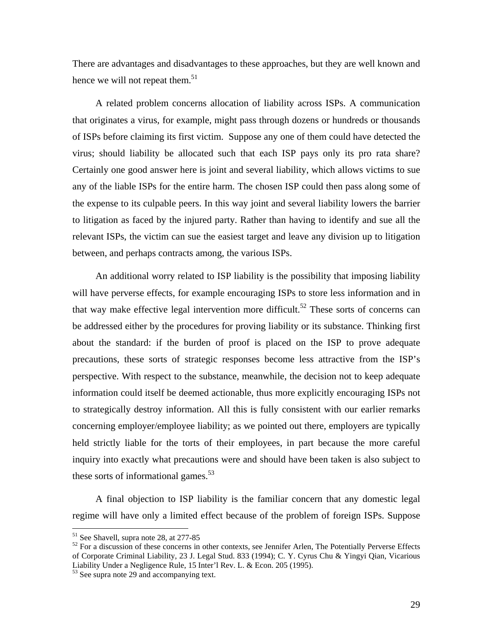There are advantages and disadvantages to these approaches, but they are well known and hence we will not repeat them.<sup>[51](#page-29-0)</sup>

A related problem concerns allocation of liability across ISPs. A communication that originates a virus, for example, might pass through dozens or hundreds or thousands of ISPs before claiming its first victim. Suppose any one of them could have detected the virus; should liability be allocated such that each ISP pays only its pro rata share? Certainly one good answer here is joint and several liability, which allows victims to sue any of the liable ISPs for the entire harm. The chosen ISP could then pass along some of the expense to its culpable peers. In this way joint and several liability lowers the barrier to litigation as faced by the injured party. Rather than having to identify and sue all the relevant ISPs, the victim can sue the easiest target and leave any division up to litigation between, and perhaps contracts among, the various ISPs.

An additional worry related to ISP liability is the possibility that imposing liability will have perverse effects, for example encouraging ISPs to store less information and in that way make effective legal intervention more difficult.<sup>52</sup> These sorts of concerns can be addressed either by the procedures for proving liability or its substance. Thinking first about the standard: if the burden of proof is placed on the ISP to prove adequate precautions, these sorts of strategic responses become less attractive from the ISP's perspective. With respect to the substance, meanwhile, the decision not to keep adequate information could itself be deemed actionable, thus more explicitly encouraging ISPs not to strategically destroy information. All this is fully consistent with our earlier remarks concerning employer/employee liability; as we pointed out there, employers are typically held strictly liable for the torts of their employees, in part because the more careful inquiry into exactly what precautions were and should have been taken is also subject to these sorts of informational games.<sup>[53](#page-29-2)</sup>

A final objection to ISP liability is the familiar concern that any domestic legal regime will have only a limited effect because of the problem of foreign ISPs. Suppose

<span id="page-29-0"></span><sup>&</sup>lt;sup>51</sup> See Shavell, supra note 28, at 277-85

<span id="page-29-1"></span> $52$  For a discussion of these concerns in other contexts, see Jennifer Arlen, The Potentially Perverse Effects of Corporate Criminal Liability, 23 J. Legal Stud. 833 (1994); C. Y. Cyrus Chu & Yingyi Qian, Vicarious Liability Under a Negligence Rule, 15 Inter'l Rev. L. & Econ. 205 (1995).<br><sup>53</sup> See supra note 29 and accompanying text.

<span id="page-29-2"></span>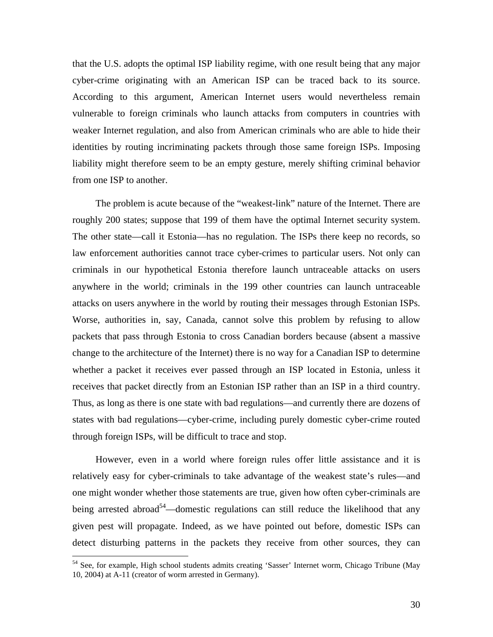that the U.S. adopts the optimal ISP liability regime, with one result being that any major cyber-crime originating with an American ISP can be traced back to its source. According to this argument, American Internet users would nevertheless remain vulnerable to foreign criminals who launch attacks from computers in countries with weaker Internet regulation, and also from American criminals who are able to hide their identities by routing incriminating packets through those same foreign ISPs. Imposing liability might therefore seem to be an empty gesture, merely shifting criminal behavior from one ISP to another.

The problem is acute because of the "weakest-link" nature of the Internet. There are roughly 200 states; suppose that 199 of them have the optimal Internet security system. The other state—call it Estonia—has no regulation. The ISPs there keep no records, so law enforcement authorities cannot trace cyber-crimes to particular users. Not only can criminals in our hypothetical Estonia therefore launch untraceable attacks on users anywhere in the world; criminals in the 199 other countries can launch untraceable attacks on users anywhere in the world by routing their messages through Estonian ISPs. Worse, authorities in, say, Canada, cannot solve this problem by refusing to allow packets that pass through Estonia to cross Canadian borders because (absent a massive change to the architecture of the Internet) there is no way for a Canadian ISP to determine whether a packet it receives ever passed through an ISP located in Estonia, unless it receives that packet directly from an Estonian ISP rather than an ISP in a third country. Thus, as long as there is one state with bad regulations—and currently there are dozens of states with bad regulations—cyber-crime, including purely domestic cyber-crime routed through foreign ISPs, will be difficult to trace and stop.

However, even in a world where foreign rules offer little assistance and it is relatively easy for cyber-criminals to take advantage of the weakest state's rules—and one might wonder whether those statements are true, given how often cyber-criminals are being arrested abroad<sup>54</sup>—domestic regulations can still reduce the likelihood that any given pest will propagate. Indeed, as we have pointed out before, domestic ISPs can detect disturbing patterns in the packets they receive from other sources, they can

<span id="page-30-0"></span><sup>&</sup>lt;sup>54</sup> See, for example, High school students admits creating 'Sasser' Internet worm, Chicago Tribune (May 10, 2004) at A-11 (creator of worm arrested in Germany).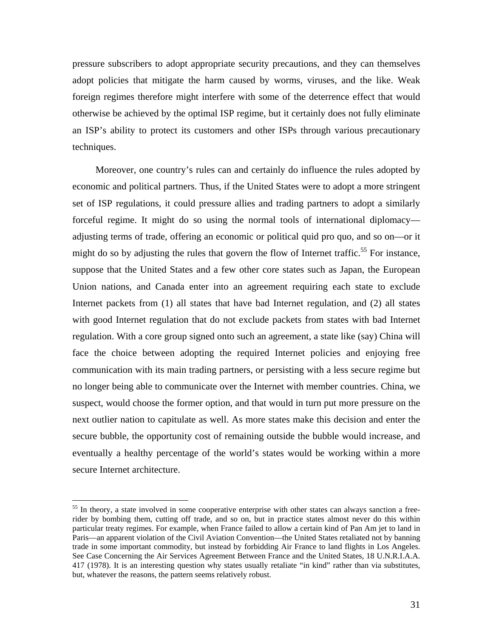pressure subscribers to adopt appropriate security precautions, and they can themselves adopt policies that mitigate the harm caused by worms, viruses, and the like. Weak foreign regimes therefore might interfere with some of the deterrence effect that would otherwise be achieved by the optimal ISP regime, but it certainly does not fully eliminate an ISP's ability to protect its customers and other ISPs through various precautionary techniques.

Moreover, one country's rules can and certainly do influence the rules adopted by economic and political partners. Thus, if the United States were to adopt a more stringent set of ISP regulations, it could pressure allies and trading partners to adopt a similarly forceful regime. It might do so using the normal tools of international diplomacy adjusting terms of trade, offering an economic or political quid pro quo, and so on—or it might do so by adjusting the rules that govern the flow of Internet traffic.<sup>55</sup> For instance, suppose that the United States and a few other core states such as Japan, the European Union nations, and Canada enter into an agreement requiring each state to exclude Internet packets from (1) all states that have bad Internet regulation, and (2) all states with good Internet regulation that do not exclude packets from states with bad Internet regulation. With a core group signed onto such an agreement, a state like (say) China will face the choice between adopting the required Internet policies and enjoying free communication with its main trading partners, or persisting with a less secure regime but no longer being able to communicate over the Internet with member countries. China, we suspect, would choose the former option, and that would in turn put more pressure on the next outlier nation to capitulate as well. As more states make this decision and enter the secure bubble, the opportunity cost of remaining outside the bubble would increase, and eventually a healthy percentage of the world's states would be working within a more secure Internet architecture.

 $\overline{a}$ 

<span id="page-31-0"></span><sup>&</sup>lt;sup>55</sup> In theory, a state involved in some cooperative enterprise with other states can always sanction a freerider by bombing them, cutting off trade, and so on, but in practice states almost never do this within particular treaty regimes. For example, when France failed to allow a certain kind of Pan Am jet to land in Paris—an apparent violation of the Civil Aviation Convention—the United States retaliated not by banning trade in some important commodity, but instead by forbidding Air France to land flights in Los Angeles. See Case Concerning the Air Services Agreement Between France and the United States, 18 U.N.R.I.A.A. 417 (1978). It is an interesting question why states usually retaliate "in kind" rather than via substitutes, but, whatever the reasons, the pattern seems relatively robust.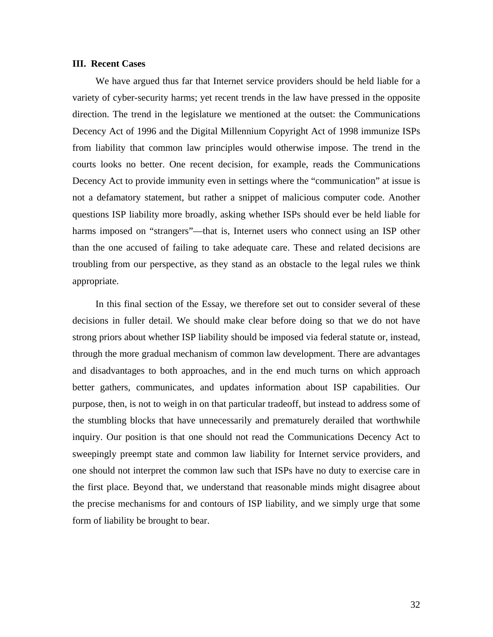#### **III. Recent Cases**

We have argued thus far that Internet service providers should be held liable for a variety of cyber-security harms; yet recent trends in the law have pressed in the opposite direction. The trend in the legislature we mentioned at the outset: the Communications Decency Act of 1996 and the Digital Millennium Copyright Act of 1998 immunize ISPs from liability that common law principles would otherwise impose. The trend in the courts looks no better. One recent decision, for example, reads the Communications Decency Act to provide immunity even in settings where the "communication" at issue is not a defamatory statement, but rather a snippet of malicious computer code. Another questions ISP liability more broadly, asking whether ISPs should ever be held liable for harms imposed on "strangers"—that is, Internet users who connect using an ISP other than the one accused of failing to take adequate care. These and related decisions are troubling from our perspective, as they stand as an obstacle to the legal rules we think appropriate.

In this final section of the Essay, we therefore set out to consider several of these decisions in fuller detail. We should make clear before doing so that we do not have strong priors about whether ISP liability should be imposed via federal statute or, instead, through the more gradual mechanism of common law development. There are advantages and disadvantages to both approaches, and in the end much turns on which approach better gathers, communicates, and updates information about ISP capabilities. Our purpose, then, is not to weigh in on that particular tradeoff, but instead to address some of the stumbling blocks that have unnecessarily and prematurely derailed that worthwhile inquiry. Our position is that one should not read the Communications Decency Act to sweepingly preempt state and common law liability for Internet service providers, and one should not interpret the common law such that ISPs have no duty to exercise care in the first place. Beyond that, we understand that reasonable minds might disagree about the precise mechanisms for and contours of ISP liability, and we simply urge that some form of liability be brought to bear.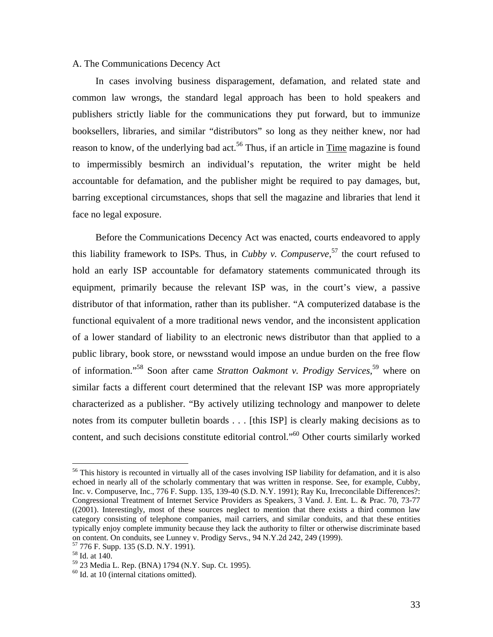#### A. The Communications Decency Act

In cases involving business disparagement, defamation, and related state and common law wrongs, the standard legal approach has been to hold speakers and publishers strictly liable for the communications they put forward, but to immunize booksellers, libraries, and similar "distributors" so long as they neither knew, nor had reason to know, of the underlying bad act.<sup>56</sup> Thus, if an article in Time magazine is found to impermissibly besmirch an individual's reputation, the writer might be held accountable for defamation, and the publisher might be required to pay damages, but, barring exceptional circumstances, shops that sell the magazine and libraries that lend it face no legal exposure.

Before the Communications Decency Act was enacted, courts endeavored to apply this liability framework to ISPs. Thus, in *Cubby v. Compuserve*, [57](#page-33-1) the court refused to hold an early ISP accountable for defamatory statements communicated through its equipment, primarily because the relevant ISP was, in the court's view, a passive distributor of that information, rather than its publisher. "A computerized database is the functional equivalent of a more traditional news vendor, and the inconsistent application of a lower standard of liability to an electronic news distributor than that applied to a public library, book store, or newsstand would impose an undue burden on the free flow of information."[58](#page-33-2) Soon after came *Stratton Oakmont v. Prodigy Services*, [59](#page-33-3) where on similar facts a different court determined that the relevant ISP was more appropriately characterized as a publisher. "By actively utilizing technology and manpower to delete notes from its computer bulletin boards . . . [this ISP] is clearly making decisions as to content, and such decisions constitute editorial control."<sup>60</sup> Other courts similarly worked

<span id="page-33-0"></span><sup>&</sup>lt;sup>56</sup> This history is recounted in virtually all of the cases involving ISP liability for defamation, and it is also echoed in nearly all of the scholarly commentary that was written in response. See, for example, Cubby, Inc. v. Compuserve, Inc., 776 F. Supp. 135, 139-40 (S.D. N.Y. 1991); Ray Ku, Irreconcilable Differences?: Congressional Treatment of Internet Service Providers as Speakers, 3 Vand. J. Ent. L. & Prac. 70, 73-77 ((2001). Interestingly, most of these sources neglect to mention that there exists a third common law category consisting of telephone companies, mail carriers, and similar conduits, and that these entities typically enjoy complete immunity because they lack the authority to filter or otherwise discriminate based on content. On conduits, see Lunney v. Prodigy Servs., 94 N.Y.2d 242, 249 (1999). <sup>57</sup> 776 F. Supp. 135 (S.D. N.Y. 1991).

<span id="page-33-1"></span>

<span id="page-33-2"></span><sup>58</sup> Id. at 140.

<span id="page-33-3"></span><sup>&</sup>lt;sup>59</sup> 23 Media L. Rep. (BNA) 1794 (N.Y. Sup. Ct. 1995).<br><sup>60</sup> Id. at 10 (internal citations omitted).

<span id="page-33-4"></span>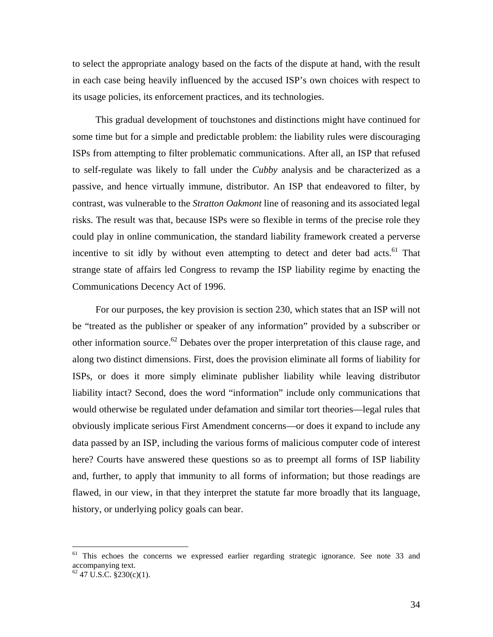to select the appropriate analogy based on the facts of the dispute at hand, with the result in each case being heavily influenced by the accused ISP's own choices with respect to its usage policies, its enforcement practices, and its technologies.

This gradual development of touchstones and distinctions might have continued for some time but for a simple and predictable problem: the liability rules were discouraging ISPs from attempting to filter problematic communications. After all, an ISP that refused to self-regulate was likely to fall under the *Cubby* analysis and be characterized as a passive, and hence virtually immune, distributor. An ISP that endeavored to filter, by contrast, was vulnerable to the *Stratton Oakmont* line of reasoning and its associated legal risks. The result was that, because ISPs were so flexible in terms of the precise role they could play in online communication, the standard liability framework created a perverse incentive to sit idly by without even attempting to detect and deter bad acts.<sup>61</sup> That strange state of affairs led Congress to revamp the ISP liability regime by enacting the Communications Decency Act of 1996.

For our purposes, the key provision is section 230, which states that an ISP will not be "treated as the publisher or speaker of any information" provided by a subscriber or other information source.<sup>62</sup> Debates over the proper interpretation of this clause rage, and along two distinct dimensions. First, does the provision eliminate all forms of liability for ISPs, or does it more simply eliminate publisher liability while leaving distributor liability intact? Second, does the word "information" include only communications that would otherwise be regulated under defamation and similar tort theories—legal rules that obviously implicate serious First Amendment concerns—or does it expand to include any data passed by an ISP, including the various forms of malicious computer code of interest here? Courts have answered these questions so as to preempt all forms of ISP liability and, further, to apply that immunity to all forms of information; but those readings are flawed, in our view, in that they interpret the statute far more broadly that its language, history, or underlying policy goals can bear.

 $\overline{a}$ 

<span id="page-34-0"></span> $61$  This echoes the concerns we expressed earlier regarding strategic ignorance. See note 33 and accompanying text.

<span id="page-34-1"></span> $62$  47 U.S.C. §230(c)(1).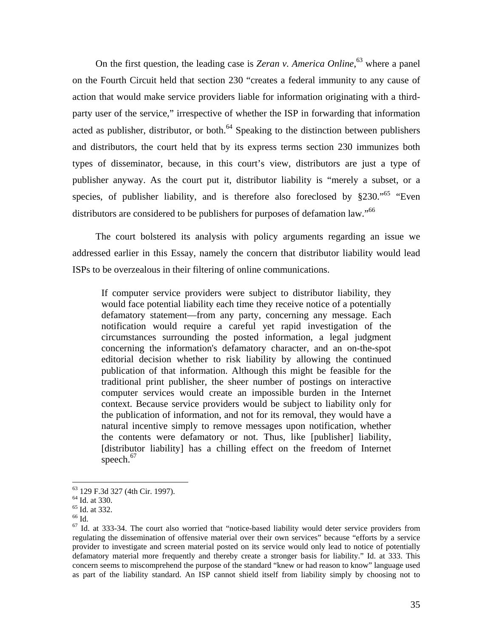<span id="page-35-4"></span>On the first question, the leading case is *Zeran v. America Online*, [63](#page-35-0) where a panel on the Fourth Circuit held that section 230 "creates a federal immunity to any cause of action that would make service providers liable for information originating with a thirdparty user of the service," irrespective of whether the ISP in forwarding that information acted as publisher, distributor, or both. $64$  Speaking to the distinction between publishers and distributors, the court held that by its express terms section 230 immunizes both types of disseminator, because, in this court's view, distributors are just a type of publisher anyway. As the court put it, distributor liability is "merely a subset, or a species, of publisher liability, and is therefore also foreclosed by  $§230$ .<sup>"65</sup> "Even distributors are considered to be publishers for purposes of defamation law."<sup>66</sup>

The court bolstered its analysis with policy arguments regarding an issue we addressed earlier in this Essay, namely the concern that distributor liability would lead ISPs to be overzealous in their filtering of online communications.

If computer service providers were subject to distributor liability, they would face potential liability each time they receive notice of a potentially defamatory statement—from any party, concerning any message. Each notification would require a careful yet rapid investigation of the circumstances surrounding the posted information, a legal judgment concerning the information's defamatory character, and an on-the-spot editorial decision whether to risk liability by allowing the continued publication of that information. Although this might be feasible for the traditional print publisher, the sheer number of postings on interactive computer services would create an impossible burden in the Internet context. Because service providers would be subject to liability only for the publication of information, and not for its removal, they would have a natural incentive simply to remove messages upon notification, whether the contents were defamatory or not. Thus, like [publisher] liability, [distributor liability] has a chilling effect on the freedom of Internet speech. $67$ 

<span id="page-35-0"></span><sup>&</sup>lt;sup>63</sup> 129 F.3d 327 (4th Cir. 1997).<br><sup>64</sup> Id. at 330.<br><sup>65</sup> Id. at 332.<br><sup>66</sup> Id.

<span id="page-35-1"></span>

<span id="page-35-2"></span>

<span id="page-35-3"></span>

 $67$  Id. at 333-34. The court also worried that "notice-based liability would deter service providers from regulating the dissemination of offensive material over their own services" because "efforts by a service provider to investigate and screen material posted on its service would only lead to notice of potentially defamatory material more frequently and thereby create a stronger basis for liability." Id. at 333. This concern seems to miscomprehend the purpose of the standard "knew or had reason to know" language used as part of the liability standard. An ISP cannot shield itself from liability simply by choosing not to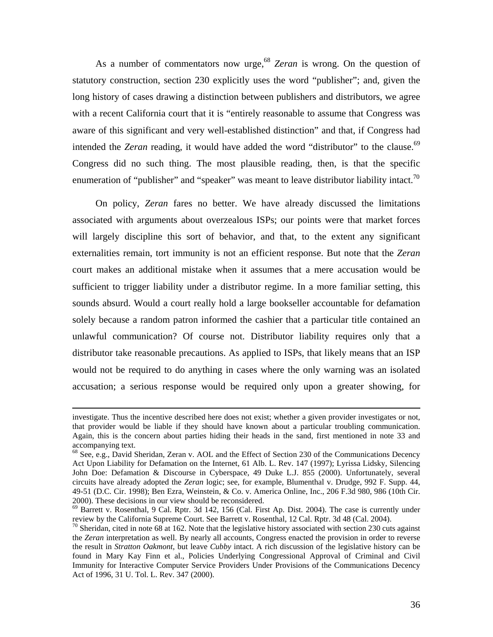As a number of commentators now urge,<sup>[68](#page-36-0)</sup> Zeran is wrong. On the question of statutory construction, section 230 explicitly uses the word "publisher"; and, given the long history of cases drawing a distinction between publishers and distributors, we agree with a recent California court that it is "entirely reasonable to assume that Congress was aware of this significant and very well-established distinction" and that, if Congress had intended the *Zeran* reading, it would have added the word "distributor" to the clause.<sup>69</sup> Congress did no such thing. The most plausible reading, then, is that the specific enumeration of "publisher" and "speaker" was meant to leave distributor liability intact.<sup>70</sup>

On policy, *Zeran* fares no better. We have already discussed the limitations associated with arguments about overzealous ISPs; our points were that market forces will largely discipline this sort of behavior, and that, to the extent any significant externalities remain, tort immunity is not an efficient response. But note that the *Zeran* court makes an additional mistake when it assumes that a mere accusation would be sufficient to trigger liability under a distributor regime. In a more familiar setting, this sounds absurd. Would a court really hold a large bookseller accountable for defamation solely because a random patron informed the cashier that a particular title contained an unlawful communication? Of course not. Distributor liability requires only that a distributor take reasonable precautions. As applied to ISPs, that likely means that an ISP would not be required to do anything in cases where the only warning was an isolated accusation; a serious response would be required only upon a greater showing, for

investigate. Thus the incentive described here does not exist; whether a given provider investigates or not, that provider would be liable if they should have known about a particular troubling communication. Again, this is the concern about parties hiding their heads in the sand, first mentioned in note 33 and accompanying text.<br><sup>68</sup> See, e.g., David Sheridan, Zeran v. AOL and the Effect of Section 230 of the Communications Decency

<span id="page-36-0"></span>Act Upon Liability for Defamation on the Internet, 61 Alb. L. Rev. 147 (1997); Lyrissa Lidsky, Silencing John Doe: Defamation & Discourse in Cyberspace, 49 Duke L.J. 855 (2000). Unfortunately, several circuits have already adopted the *Zeran* logic; see, for example, Blumenthal v. Drudge, 992 F. Supp. 44, 49-51 (D.C. Cir. 1998); Ben Ezra, Weinstein, & Co. v. America Online, Inc., 206 F.3d 980, 986 (10th Cir.

<span id="page-36-1"></span><sup>2000).</sup> These decisions in our view should be reconsidered.<br><sup>69</sup> Barrett v. Rosenthal, 9 Cal. Rptr. 3d 142, 156 (Cal. First Ap. Dist. 2004). The case is currently under review by the California Supreme Court. See Barrett v

<span id="page-36-2"></span><sup>&</sup>lt;sup>70</sup> Sheridan, cited in note 68 at 162. Note that the legislative history associated with section 230 cuts against the *Zeran* interpretation as well. By nearly all accounts, Congress enacted the provision in order to reverse the result in *Stratton Oakmont*, but leave *Cubby* intact. A rich discussion of the legislative history can be found in Mary Kay Finn et al., Policies Underlying Congressional Approval of Criminal and Civil Immunity for Interactive Computer Service Providers Under Provisions of the Communications Decency Act of 1996, 31 U. Tol. L. Rev. 347 (2000).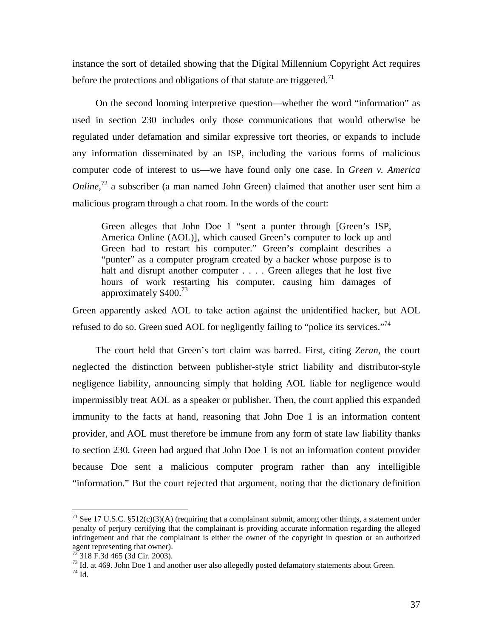instance the sort of detailed showing that the Digital Millennium Copyright Act requires before the protections and obligations of that statute are triggered.<sup>71</sup>

On the second looming interpretive question—whether the word "information" as used in section 230 includes only those communications that would otherwise be regulated under defamation and similar expressive tort theories, or expands to include any information disseminated by an ISP, including the various forms of malicious computer code of interest to us—we have found only one case. In *Green v. America Online*<sup>72</sup> a subscriber (a man named John Green) claimed that another user sent him a malicious program through a chat room. In the words of the court:

Green alleges that John Doe 1 "sent a punter through [Green's ISP, America Online (AOL)], which caused Green's computer to lock up and Green had to restart his computer." Green's complaint describes a "punter" as a computer program created by a hacker whose purpose is to halt and disrupt another computer . . . . Green alleges that he lost five hours of work restarting his computer, causing him damages of approximately \$400[.73](#page-37-2)

Green apparently asked AOL to take action against the unidentified hacker, but AOL refused to do so. Green sued AOL for negligently failing to "police its services."<sup>74</sup>

The court held that Green's tort claim was barred. First, citing *Zeran*, the court neglected the distinction between publisher-style strict liability and distributor-style negligence liability, announcing simply that holding AOL liable for negligence would impermissibly treat AOL as a speaker or publisher. Then, the court applied this expanded immunity to the facts at hand, reasoning that John Doe 1 is an information content provider, and AOL must therefore be immune from any form of state law liability thanks to section 230. Green had argued that John Doe 1 is not an information content provider because Doe sent a malicious computer program rather than any intelligible "information." But the court rejected that argument, noting that the dictionary definition

<u>.</u>

<span id="page-37-0"></span><sup>&</sup>lt;sup>71</sup> See 17 U.S.C. §512(c)(3)(A) (requiring that a complainant submit, among other things, a statement under penalty of perjury certifying that the complainant is providing accurate information regarding the alleged infringement and that the complainant is either the owner of the copyright in question or an authorized agent representing that owner).<br> $72$  318 F.3d 465 (3d Cir. 2003).

<span id="page-37-1"></span>

<span id="page-37-2"></span><sup>&</sup>lt;sup>73</sup> Id. at 469. John Doe 1 and another user also allegedly posted defamatory statements about Green.  $74$  Id.

<span id="page-37-3"></span>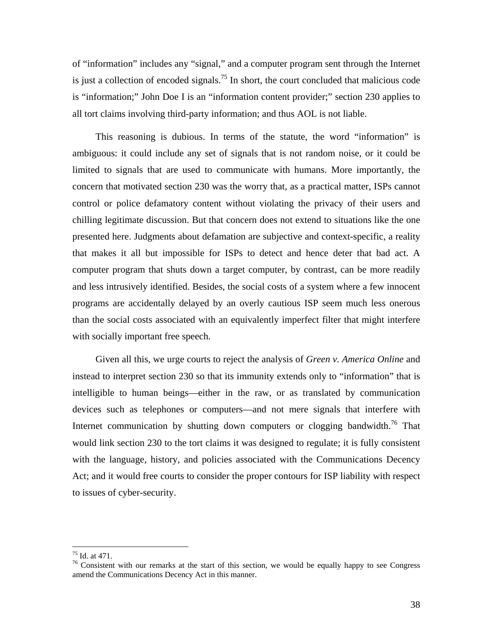of "information" includes any "signal," and a computer program sent through the Internet is just a collection of encoded signals.<sup>75</sup> In short, the court concluded that malicious code is "information;" John Doe I is an "information content provider;" section 230 applies to all tort claims involving third-party information; and thus AOL is not liable.

This reasoning is dubious. In terms of the statute, the word "information" is ambiguous: it could include any set of signals that is not random noise, or it could be limited to signals that are used to communicate with humans. More importantly, the concern that motivated section 230 was the worry that, as a practical matter, ISPs cannot control or police defamatory content without violating the privacy of their users and chilling legitimate discussion. But that concern does not extend to situations like the one presented here. Judgments about defamation are subjective and context-specific, a reality that makes it all but impossible for ISPs to detect and hence deter that bad act. A computer program that shuts down a target computer, by contrast, can be more readily and less intrusively identified. Besides, the social costs of a system where a few innocent programs are accidentally delayed by an overly cautious ISP seem much less onerous than the social costs associated with an equivalently imperfect filter that might interfere with socially important free speech.

Given all this, we urge courts to reject the analysis of *Green v. America Online* and instead to interpret section 230 so that its immunity extends only to "information" that is intelligible to human beings—either in the raw, or as translated by communication devices such as telephones or computers—and not mere signals that interfere with Internet communication by shutting down computers or clogging bandwidth.<sup>76</sup> That would link section 230 to the tort claims it was designed to regulate; it is fully consistent with the language, history, and policies associated with the Communications Decency Act; and it would free courts to consider the proper contours for ISP liability with respect to issues of cyber-security.

<span id="page-38-1"></span><span id="page-38-0"></span>

<sup>&</sup>lt;sup>75</sup> Id. at 471.<br><sup>76</sup> Consistent with our remarks at the start of this section, we would be equally happy to see Congress amend the Communications Decency Act in this manner.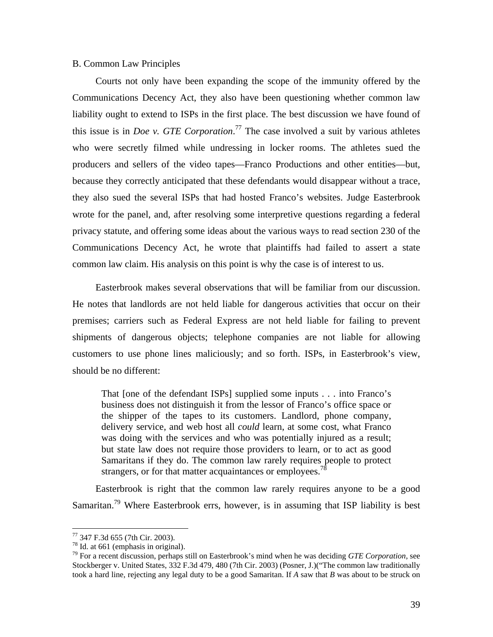#### <span id="page-39-2"></span>B. Common Law Principles

Courts not only have been expanding the scope of the immunity offered by the Communications Decency Act, they also have been questioning whether common law liability ought to extend to ISPs in the first place. The best discussion we have found of this issue is in *Doe v. GTE Corporation*.<sup>77</sup> The case involved a suit by various athletes who were secretly filmed while undressing in locker rooms. The athletes sued the producers and sellers of the video tapes—Franco Productions and other entities—but, because they correctly anticipated that these defendants would disappear without a trace, they also sued the several ISPs that had hosted Franco's websites. Judge Easterbrook wrote for the panel, and, after resolving some interpretive questions regarding a federal privacy statute, and offering some ideas about the various ways to read section 230 of the Communications Decency Act, he wrote that plaintiffs had failed to assert a state common law claim. His analysis on this point is why the case is of interest to us.

Easterbrook makes several observations that will be familiar from our discussion. He notes that landlords are not held liable for dangerous activities that occur on their premises; carriers such as Federal Express are not held liable for failing to prevent shipments of dangerous objects; telephone companies are not liable for allowing customers to use phone lines maliciously; and so forth. ISPs, in Easterbrook's view, should be no different:

That [one of the defendant ISPs] supplied some inputs . . . into Franco's business does not distinguish it from the lessor of Franco's office space or the shipper of the tapes to its customers. Landlord, phone company, delivery service, and web host all *could* learn, at some cost, what Franco was doing with the services and who was potentially injured as a result; but state law does not require those providers to learn, or to act as good Samaritans if they do. The common law rarely requires people to protect strangers, or for that matter acquaintances or employees.<sup>[78](#page-39-1)</sup>

Easterbrook is right that the common law rarely requires anyone to be a good Samaritan.<sup>79</sup> Where Easterbrook errs, however, is in assuming that ISP liability is best

<span id="page-39-0"></span><sup>77 347</sup> F.3d 655 (7th Cir. 2003).

<span id="page-39-1"></span>

<sup>&</sup>lt;sup>78</sup> Id. at 661 (emphasis in original).<br><sup>79</sup> For a recent discussion, perhaps still on Easterbrook's mind when he was deciding *GTE Corporation*, see Stockberger v. United States, 332 F.3d 479, 480 (7th Cir. 2003) (Posner, J.)("The common law traditionally took a hard line, rejecting any legal duty to be a good Samaritan. If *A* saw that *B* was about to be struck on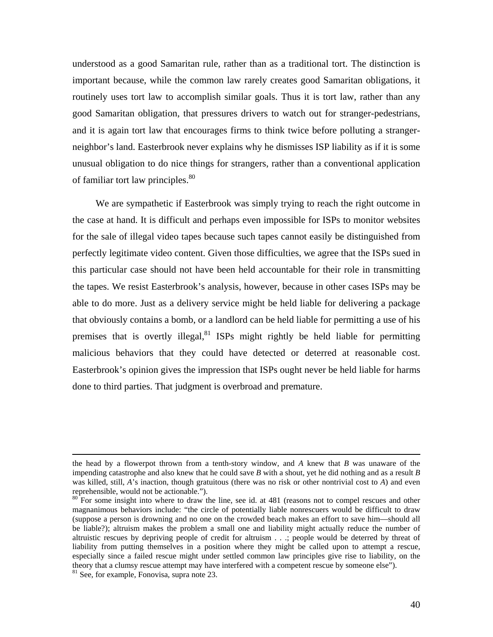understood as a good Samaritan rule, rather than as a traditional tort. The distinction is important because, while the common law rarely creates good Samaritan obligations, it routinely uses tort law to accomplish similar goals. Thus it is tort law, rather than any good Samaritan obligation, that pressures drivers to watch out for stranger-pedestrians, and it is again tort law that encourages firms to think twice before polluting a strangerneighbor's land. Easterbrook never explains why he dismisses ISP liability as if it is some unusual obligation to do nice things for strangers, rather than a conventional application of familiar tort law principles.<sup>[80](#page-40-0)</sup>

We are sympathetic if Easterbrook was simply trying to reach the right outcome in the case at hand. It is difficult and perhaps even impossible for ISPs to monitor websites for the sale of illegal video tapes because such tapes cannot easily be distinguished from perfectly legitimate video content. Given those difficulties, we agree that the ISPs sued in this particular case should not have been held accountable for their role in transmitting the tapes. We resist Easterbrook's analysis, however, because in other cases ISPs may be able to do more. Just as a delivery service might be held liable for delivering a package that obviously contains a bomb, or a landlord can be held liable for permitting a use of his premises that is overtly illegal, $81$  ISPs might rightly be held liable for permitting malicious behaviors that they could have detected or deterred at reasonable cost. Easterbrook's opinion gives the impression that ISPs ought never be held liable for harms done to third parties. That judgment is overbroad and premature.

the head by a flowerpot thrown from a tenth-story window, and *A* knew that *<sup>B</sup>* was unaware of the impending catastrophe and also knew that he could save  $B$  with a shout, yet he did nothing and as a result  $B$ was killed, still, *A*'s inaction, though gratuitous (there was no risk or other nontrivial cost to *A*) and even reprehensible, would not be actionable.").<br><sup>80</sup> For some insight into where to draw the line, see id. at 481 (reasons not to compel rescues and other

<span id="page-40-0"></span>magnanimous behaviors include: "the circle of potentially liable nonrescuers would be difficult to draw (suppose a person is drowning and no one on the crowded beach makes an effort to save him—should all be liable?); altruism makes the problem a small one and liability might actually reduce the number of altruistic rescues by depriving people of credit for altruism . . .; people would be deterred by threat of liability from putting themselves in a position where they might be called upon to attempt a rescue, especially since a failed rescue might under settled common law principles give rise to liability, on the theory that a clumsy rescue attempt may have interfered with a competent rescue by someone else"). <sup>81</sup> See, for example, Fonovisa, supra note 23.

<span id="page-40-1"></span>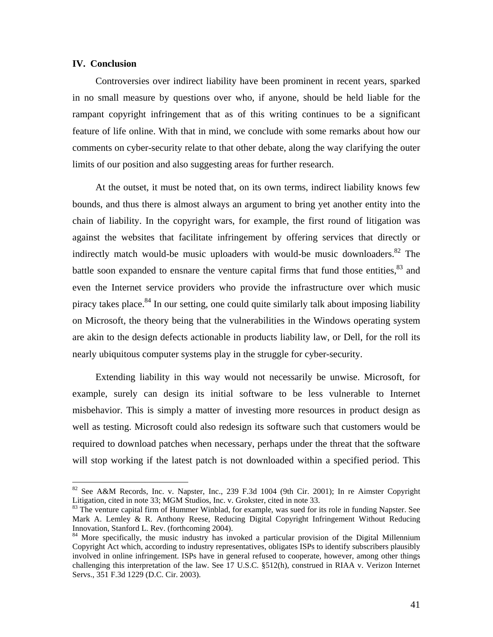#### **IV. Conclusion**

1

Controversies over indirect liability have been prominent in recent years, sparked in no small measure by questions over who, if anyone, should be held liable for the rampant copyright infringement that as of this writing continues to be a significant feature of life online. With that in mind, we conclude with some remarks about how our comments on cyber-security relate to that other debate, along the way clarifying the outer limits of our position and also suggesting areas for further research.

At the outset, it must be noted that, on its own terms, indirect liability knows few bounds, and thus there is almost always an argument to bring yet another entity into the chain of liability. In the copyright wars, for example, the first round of litigation was against the websites that facilitate infringement by offering services that directly or indirectly match would-be music uploaders with would-be music downloaders. $82$  The battle soon expanded to ensnare the venture capital firms that fund those entities,  $83$  and even the Internet service providers who provide the infrastructure over which music piracy takes place.<sup>84</sup> In our setting, one could quite similarly talk about imposing liability on Microsoft, the theory being that the vulnerabilities in the Windows operating system are akin to the design defects actionable in products liability law, or Dell, for the roll its nearly ubiquitous computer systems play in the struggle for cyber-security.

Extending liability in this way would not necessarily be unwise. Microsoft, for example, surely can design its initial software to be less vulnerable to Internet misbehavior. This is simply a matter of investing more resources in product design as well as testing. Microsoft could also redesign its software such that customers would be required to download patches when necessary, perhaps under the threat that the software will stop working if the latest patch is not downloaded within a specified period. This

<span id="page-41-0"></span><sup>&</sup>lt;sup>82</sup> See A&M Records, Inc. v. Napster, Inc., 239 F.3d 1004 (9th Cir. 2001); In re Aimster Copyright Litigation, cited in note 33; MGM Studios, Inc. v. Grokster, cited in note 33.

<span id="page-41-1"></span> $83$  The venture capital firm of Hummer Winblad, for example, was sued for its role in funding Napster. See Mark A. Lemley & R. Anthony Reese, Reducing Digital Copyright Infringement Without Reducing Innovation, Stanford L. Rev. (forthcoming 2004).

<span id="page-41-2"></span> $84$  More specifically, the music industry has invoked a particular provision of the Digital Millennium Copyright Act which, according to industry representatives, obligates ISPs to identify subscribers plausibly involved in online infringement. ISPs have in general refused to cooperate, however, among other things challenging this interpretation of the law. See 17 U.S.C. §512(h), construed in RIAA v. Verizon Internet Servs., 351 F.3d 1229 (D.C. Cir. 2003).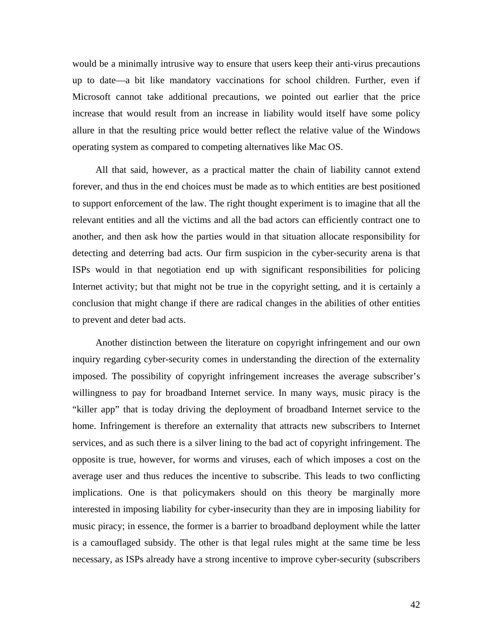would be a minimally intrusive way to ensure that users keep their anti-virus precautions up to date—a bit like mandatory vaccinations for school children. Further, even if Microsoft cannot take additional precautions, we pointed out earlier that the price increase that would result from an increase in liability would itself have some policy allure in that the resulting price would better reflect the relative value of the Windows operating system as compared to competing alternatives like Mac OS.

All that said, however, as a practical matter the chain of liability cannot extend forever, and thus in the end choices must be made as to which entities are best positioned to support enforcement of the law. The right thought experiment is to imagine that all the relevant entities and all the victims and all the bad actors can efficiently contract one to another, and then ask how the parties would in that situation allocate responsibility for detecting and deterring bad acts. Our firm suspicion in the cyber-security arena is that ISPs would in that negotiation end up with significant responsibilities for policing Internet activity; but that might not be true in the copyright setting, and it is certainly a conclusion that might change if there are radical changes in the abilities of other entities to prevent and deter bad acts.

Another distinction between the literature on copyright infringement and our own inquiry regarding cyber-security comes in understanding the direction of the externality imposed. The possibility of copyright infringement increases the average subscriber's willingness to pay for broadband Internet service. In many ways, music piracy is the "killer app" that is today driving the deployment of broadband Internet service to the home. Infringement is therefore an externality that attracts new subscribers to Internet services, and as such there is a silver lining to the bad act of copyright infringement. The opposite is true, however, for worms and viruses, each of which imposes a cost on the average user and thus reduces the incentive to subscribe. This leads to two conflicting implications. One is that policymakers should on this theory be marginally more interested in imposing liability for cyber-insecurity than they are in imposing liability for music piracy; in essence, the former is a barrier to broadband deployment while the latter is a camouflaged subsidy. The other is that legal rules might at the same time be less necessary, as ISPs already have a strong incentive to improve cyber-security (subscribers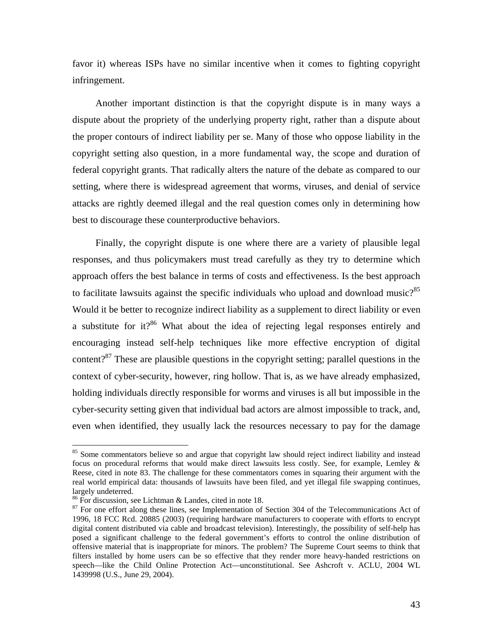favor it) whereas ISPs have no similar incentive when it comes to fighting copyright infringement.

Another important distinction is that the copyright dispute is in many ways a dispute about the propriety of the underlying property right, rather than a dispute about the proper contours of indirect liability per se. Many of those who oppose liability in the copyright setting also question, in a more fundamental way, the scope and duration of federal copyright grants. That radically alters the nature of the debate as compared to our setting, where there is widespread agreement that worms, viruses, and denial of service attacks are rightly deemed illegal and the real question comes only in determining how best to discourage these counterproductive behaviors.

Finally, the copyright dispute is one where there are a variety of plausible legal responses, and thus policymakers must tread carefully as they try to determine which approach offers the best balance in terms of costs and effectiveness. Is the best approach to facilitate lawsuits against the specific individuals who upload and download music? $85$ Would it be better to recognize indirect liability as a supplement to direct liability or even a substitute for it?<sup>86</sup> What about the idea of rejecting legal responses entirely and encouraging instead self-help techniques like more effective encryption of digital content?<sup>87</sup> These are plausible questions in the copyright setting; parallel questions in the context of cyber-security, however, ring hollow. That is, as we have already emphasized, holding individuals directly responsible for worms and viruses is all but impossible in the cyber-security setting given that individual bad actors are almost impossible to track, and, even when identified, they usually lack the resources necessary to pay for the damage

<span id="page-43-0"></span><sup>&</sup>lt;sup>85</sup> Some commentators believe so and argue that copyright law should reject indirect liability and instead focus on procedural reforms that would make direct lawsuits less costly. See, for example, Lemley & Reese, cited in note 83. The challenge for these commentators comes in squaring their argument with the real world empirical data: thousands of lawsuits have been filed, and yet illegal file swapping continues, largely undeterred.<br><sup>86</sup> For discussion, see Lichtman & Landes, cited in note 18.<br><sup>87</sup> For one effort along these lines, see Implementation of Section 304 of the Telecommunications Act of

<span id="page-43-1"></span>

<span id="page-43-2"></span><sup>1996, 18</sup> FCC Rcd. 20885 (2003) (requiring hardware manufacturers to cooperate with efforts to encrypt digital content distributed via cable and broadcast television). Interestingly, the possibility of self-help has posed a significant challenge to the federal government's efforts to control the online distribution of offensive material that is inappropriate for minors. The problem? The Supreme Court seems to think that filters installed by home users can be so effective that they render more heavy-handed restrictions on speech—like the Child Online Protection Act—unconstitutional. See Ashcroft v. ACLU, 2004 WL 1439998 (U.S., June 29, 2004).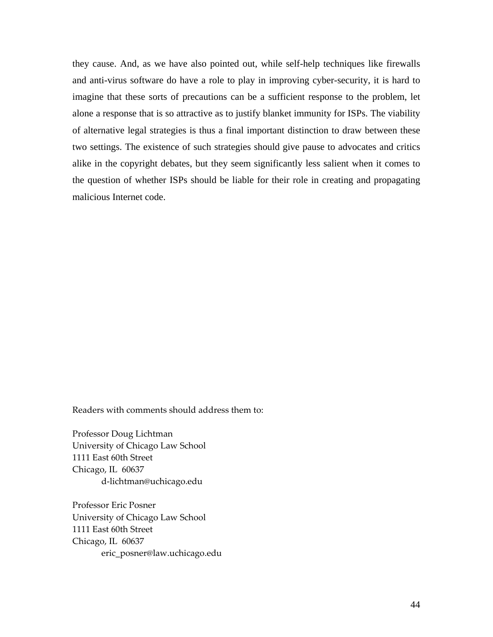they cause. And, as we have also pointed out, while self-help techniques like firewalls and anti-virus software do have a role to play in improving cyber-security, it is hard to imagine that these sorts of precautions can be a sufficient response to the problem, let alone a response that is so attractive as to justify blanket immunity for ISPs. The viability of alternative legal strategies is thus a final important distinction to draw between these two settings. The existence of such strategies should give pause to advocates and critics alike in the copyright debates, but they seem significantly less salient when it comes to the question of whether ISPs should be liable for their role in creating and propagating malicious Internet code.

Readers with comments should address them to:

Professor Doug Lichtman University of Chicago Law School 1111 East 60th Street Chicago, IL 60637 d-lichtman@uchicago.edu

Professor Eric Posner University of Chicago Law School 1111 East 60th Street Chicago, IL 60637 eric\_posner@law.uchicago.edu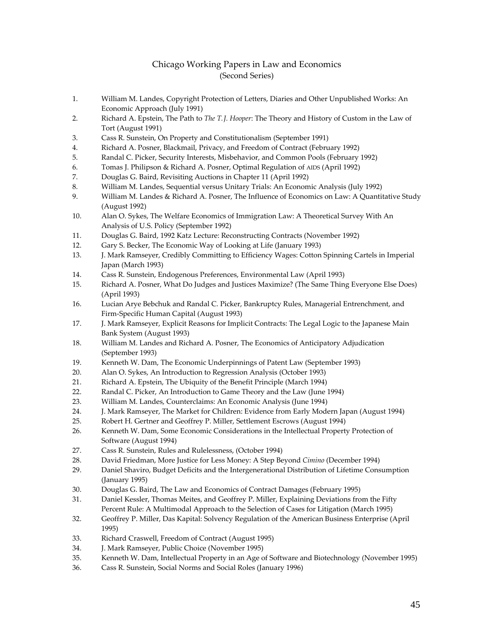#### Chicago Working Papers in Law and Economics (Second Series)

- 1. William M. Landes, Copyright Protection of Letters, Diaries and Other Unpublished Works: An Economic Approach (July 1991)
- 2. Richard A. Epstein, The Path to *The T. J. Hooper*: The Theory and History of Custom in the Law of Tort (August 1991)
- 3. Cass R. Sunstein, On Property and Constitutionalism (September 1991)
- 4. Richard A. Posner, Blackmail, Privacy, and Freedom of Contract (February 1992)
- 5. Randal C. Picker, Security Interests, Misbehavior, and Common Pools (February 1992)
- 6. Tomas J. Philipson & Richard A. Posner, Optimal Regulation of AIDS (April 1992)
- 7. Douglas G. Baird, Revisiting Auctions in Chapter 11 (April 1992)
- 8. William M. Landes, Sequential versus Unitary Trials: An Economic Analysis (July 1992)
- 9. William M. Landes & Richard A. Posner, The Influence of Economics on Law: A Quantitative Study (August 1992)
- 10. Alan O. Sykes, The Welfare Economics of Immigration Law: A Theoretical Survey With An Analysis of U.S. Policy (September 1992)
- 11. Douglas G. Baird, 1992 Katz Lecture: Reconstructing Contracts (November 1992)
- 12. Gary S. Becker, The Economic Way of Looking at Life (January 1993)
- 13. J. Mark Ramseyer, Credibly Committing to Efficiency Wages: Cotton Spinning Cartels in Imperial Japan (March 1993)
- 14. Cass R. Sunstein, Endogenous Preferences, Environmental Law (April 1993)
- 15. Richard A. Posner, What Do Judges and Justices Maximize? (The Same Thing Everyone Else Does) (April 1993)
- 16. Lucian Arye Bebchuk and Randal C. Picker, Bankruptcy Rules, Managerial Entrenchment, and Firm-Specific Human Capital (August 1993)
- 17. J. Mark Ramseyer, Explicit Reasons for Implicit Contracts: The Legal Logic to the Japanese Main Bank System (August 1993)
- 18. William M. Landes and Richard A. Posner, The Economics of Anticipatory Adjudication (September 1993)
- 19. Kenneth W. Dam, The Economic Underpinnings of Patent Law (September 1993)
- 20. Alan O. Sykes, An Introduction to Regression Analysis (October 1993)
- 21. Richard A. Epstein, The Ubiquity of the Benefit Principle (March 1994)
- 22. Randal C. Picker, An Introduction to Game Theory and the Law (June 1994)
- 23. William M. Landes, Counterclaims: An Economic Analysis (June 1994)
- 24. J. Mark Ramseyer, The Market for Children: Evidence from Early Modern Japan (August 1994)
- 25. Robert H. Gertner and Geoffrey P. Miller, Settlement Escrows (August 1994)
- 26. Kenneth W. Dam, Some Economic Considerations in the Intellectual Property Protection of Software (August 1994)
- 27. Cass R. Sunstein, Rules and Rulelessness, (October 1994)
- 28. David Friedman, More Justice for Less Money: A Step Beyond *Cimino* (December 1994)
- 29. Daniel Shaviro, Budget Deficits and the Intergenerational Distribution of Lifetime Consumption (January 1995)
- 30. Douglas G. Baird, The Law and Economics of Contract Damages (February 1995)
- 31. Daniel Kessler, Thomas Meites, and Geoffrey P. Miller, Explaining Deviations from the Fifty Percent Rule: A Multimodal Approach to the Selection of Cases for Litigation (March 1995)
- 32. Geoffrey P. Miller, Das Kapital: Solvency Regulation of the American Business Enterprise (April 1995)
- 33. Richard Craswell, Freedom of Contract (August 1995)
- 34. J. Mark Ramseyer, Public Choice (November 1995)
- 35. Kenneth W. Dam, Intellectual Property in an Age of Software and Biotechnology (November 1995)
- 36. Cass R. Sunstein, Social Norms and Social Roles (January 1996)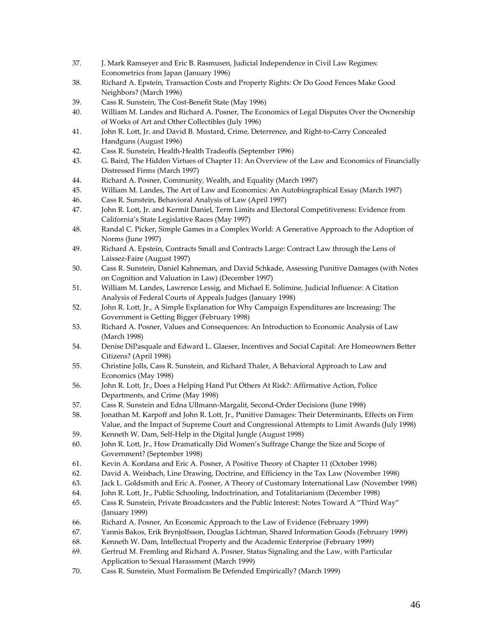- 37. J. Mark Ramseyer and Eric B. Rasmusen, Judicial Independence in Civil Law Regimes: Econometrics from Japan (January 1996)
- 38. Richard A. Epstein, Transaction Costs and Property Rights: Or Do Good Fences Make Good Neighbors? (March 1996)
- 39. Cass R. Sunstein, The Cost-Benefit State (May 1996)
- 40. William M. Landes and Richard A. Posner, The Economics of Legal Disputes Over the Ownership of Works of Art and Other Collectibles (July 1996)
- 41. John R. Lott, Jr. and David B. Mustard, Crime, Deterrence, and Right-to-Carry Concealed Handguns (August 1996)
- 42. Cass R. Sunstein, Health-Health Tradeoffs (September 1996)
- 43. G. Baird, The Hidden Virtues of Chapter 11: An Overview of the Law and Economics of Financially Distressed Firms (March 1997)
- 44. Richard A. Posner, Community, Wealth, and Equality (March 1997)
- 45. William M. Landes, The Art of Law and Economics: An Autobiographical Essay (March 1997)
- 46. Cass R. Sunstein, Behavioral Analysis of Law (April 1997)
- 47. John R. Lott, Jr. and Kermit Daniel, Term Limits and Electoral Competitiveness: Evidence from California's State Legislative Races (May 1997)
- 48. Randal C. Picker, Simple Games in a Complex World: A Generative Approach to the Adoption of Norms (June 1997)
- 49. Richard A. Epstein, Contracts Small and Contracts Large: Contract Law through the Lens of Laissez-Faire (August 1997)
- 50. Cass R. Sunstein, Daniel Kahneman, and David Schkade, Assessing Punitive Damages (with Notes on Cognition and Valuation in Law) (December 1997)
- 51. William M. Landes, Lawrence Lessig, and Michael E. Solimine, Judicial Influence: A Citation Analysis of Federal Courts of Appeals Judges (January 1998)
- 52. John R. Lott, Jr., A Simple Explanation for Why Campaign Expenditures are Increasing: The Government is Getting Bigger (February 1998)
- 53. Richard A. Posner, Values and Consequences: An Introduction to Economic Analysis of Law (March 1998)
- 54. Denise DiPasquale and Edward L. Glaeser, Incentives and Social Capital: Are Homeowners Better Citizens? (April 1998)
- 55. Christine Jolls, Cass R. Sunstein, and Richard Thaler, A Behavioral Approach to Law and Economics (May 1998)
- 56. John R. Lott, Jr., Does a Helping Hand Put Others At Risk?: Affirmative Action, Police Departments, and Crime (May 1998)
- 57. Cass R. Sunstein and Edna Ullmann-Margalit, Second-Order Decisions (June 1998)
- 58. Jonathan M. Karpoff and John R. Lott, Jr., Punitive Damages: Their Determinants, Effects on Firm Value, and the Impact of Supreme Court and Congressional Attempts to Limit Awards (July 1998)
- 59. Kenneth W. Dam, Self-Help in the Digital Jungle (August 1998)
- 60. John R. Lott, Jr., How Dramatically Did Women's Suffrage Change the Size and Scope of Government? (September 1998)
- 61. Kevin A. Kordana and Eric A. Posner, A Positive Theory of Chapter 11 (October 1998)
- 62. David A. Weisbach, Line Drawing, Doctrine, and Efficiency in the Tax Law (November 1998)
- 63. Jack L. Goldsmith and Eric A. Posner, A Theory of Customary International Law (November 1998)
- 64. John R. Lott, Jr., Public Schooling, Indoctrination, and Totalitarianism (December 1998)
- 65. Cass R. Sunstein, Private Broadcasters and the Public Interest: Notes Toward A "Third Way" (January 1999)
- 66. Richard A. Posner, An Economic Approach to the Law of Evidence (February 1999)
- 67. Yannis Bakos, Erik Brynjolfsson, Douglas Lichtman, Shared Information Goods (February 1999)
- 68. Kenneth W. Dam, Intellectual Property and the Academic Enterprise (February 1999)
- 69. Gertrud M. Fremling and Richard A. Posner, Status Signaling and the Law, with Particular Application to Sexual Harassment (March 1999)
- 70. Cass R. Sunstein, Must Formalism Be Defended Empirically? (March 1999)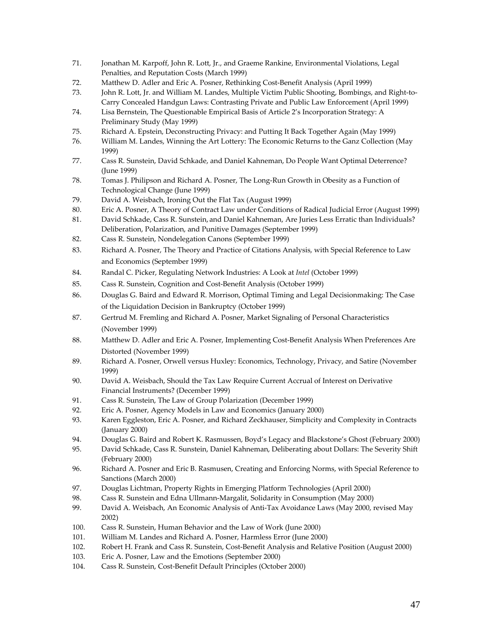- 71. Jonathan M. Karpoff, John R. Lott, Jr., and Graeme Rankine, Environmental Violations, Legal Penalties, and Reputation Costs (March 1999)
- 72. Matthew D. Adler and Eric A. Posner, Rethinking Cost-Benefit Analysis (April 1999)
- 73. John R. Lott, Jr. and William M. Landes, Multiple Victim Public Shooting, Bombings, and Right-to-Carry Concealed Handgun Laws: Contrasting Private and Public Law Enforcement (April 1999)
- 74. Lisa Bernstein, The Questionable Empirical Basis of Article 2's Incorporation Strategy: A Preliminary Study (May 1999)
- 75. Richard A. Epstein, Deconstructing Privacy: and Putting It Back Together Again (May 1999)
- 76. William M. Landes, Winning the Art Lottery: The Economic Returns to the Ganz Collection (May 1999)
- 77. Cass R. Sunstein, David Schkade, and Daniel Kahneman, Do People Want Optimal Deterrence? (June 1999)
- 78. Tomas J. Philipson and Richard A. Posner, The Long-Run Growth in Obesity as a Function of Technological Change (June 1999)
- 79. David A. Weisbach, Ironing Out the Flat Tax (August 1999)
- 80. Eric A. Posner, A Theory of Contract Law under Conditions of Radical Judicial Error (August 1999)
- 81. David Schkade, Cass R. Sunstein, and Daniel Kahneman, Are Juries Less Erratic than Individuals? Deliberation, Polarization, and Punitive Damages (September 1999)
- 82. Cass R. Sunstein, Nondelegation Canons (September 1999)
- 83. Richard A. Posner, The Theory and Practice of Citations Analysis, with Special Reference to Law and Economics (September 1999)
- 84. Randal C. Picker, Regulating Network Industries: A Look at *Intel* (October 1999)
- 85. Cass R. Sunstein, Cognition and Cost-Benefit Analysis (October 1999)
- 86. Douglas G. Baird and Edward R. Morrison, Optimal Timing and Legal Decisionmaking: The Case of the Liquidation Decision in Bankruptcy (October 1999)
- 87. Gertrud M. Fremling and Richard A. Posner, Market Signaling of Personal Characteristics (November 1999)
- 88. Matthew D. Adler and Eric A. Posner, Implementing Cost-Benefit Analysis When Preferences Are Distorted (November 1999)
- 89. Richard A. Posner, Orwell versus Huxley: Economics, Technology, Privacy, and Satire (November 1999)
- 90. David A. Weisbach, Should the Tax Law Require Current Accrual of Interest on Derivative Financial Instruments? (December 1999)
- 91. Cass R. Sunstein, The Law of Group Polarization (December 1999)
- 92. Eric A. Posner, Agency Models in Law and Economics (January 2000)
- 93. Karen Eggleston, Eric A. Posner, and Richard Zeckhauser, Simplicity and Complexity in Contracts (January 2000)
- 94. Douglas G. Baird and Robert K. Rasmussen, Boyd's Legacy and Blackstone's Ghost (February 2000)
- 95. David Schkade, Cass R. Sunstein, Daniel Kahneman, Deliberating about Dollars: The Severity Shift (February 2000)
- 96. Richard A. Posner and Eric B. Rasmusen, Creating and Enforcing Norms, with Special Reference to Sanctions (March 2000)
- 97. Douglas Lichtman, Property Rights in Emerging Platform Technologies (April 2000)
- 98. Cass R. Sunstein and Edna Ullmann-Margalit, Solidarity in Consumption (May 2000)
- 99. David A. Weisbach, An Economic Analysis of Anti-Tax Avoidance Laws (May 2000, revised May 2002)
- 100. Cass R. Sunstein, Human Behavior and the Law of Work (June 2000)
- 101. William M. Landes and Richard A. Posner, Harmless Error (June 2000)
- 102. Robert H. Frank and Cass R. Sunstein, Cost-Benefit Analysis and Relative Position (August 2000)
- 103. Eric A. Posner, Law and the Emotions (September 2000)
- 104. Cass R. Sunstein, Cost-Benefit Default Principles (October 2000)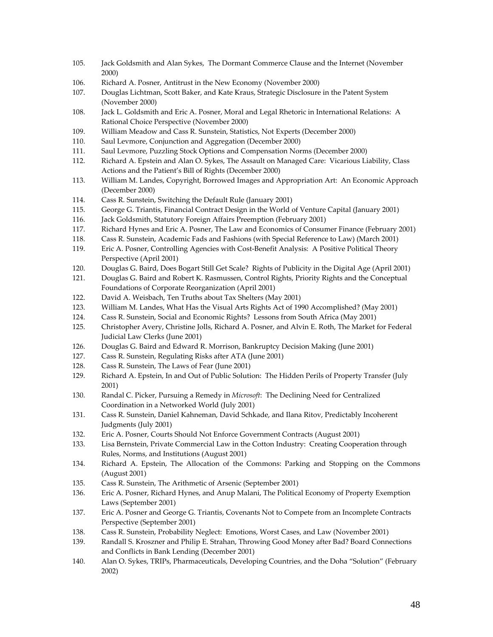- 105. Jack Goldsmith and Alan Sykes, The Dormant Commerce Clause and the Internet (November 2000)
- 106. Richard A. Posner, Antitrust in the New Economy (November 2000)
- 107. Douglas Lichtman, Scott Baker, and Kate Kraus, Strategic Disclosure in the Patent System (November 2000)
- 108. Jack L. Goldsmith and Eric A. Posner, Moral and Legal Rhetoric in International Relations: A Rational Choice Perspective (November 2000)
- 109. William Meadow and Cass R. Sunstein, Statistics, Not Experts (December 2000)
- 110. Saul Levmore, Conjunction and Aggregation (December 2000)
- 111. Saul Levmore, Puzzling Stock Options and Compensation Norms (December 2000)
- 112. Richard A. Epstein and Alan O. Sykes, The Assault on Managed Care: Vicarious Liability, Class Actions and the Patient's Bill of Rights (December 2000)
- 113. William M. Landes, Copyright, Borrowed Images and Appropriation Art: An Economic Approach (December 2000)
- 114. Cass R. Sunstein, Switching the Default Rule (January 2001)
- 115. George G. Triantis, Financial Contract Design in the World of Venture Capital (January 2001)
- 116. Jack Goldsmith, Statutory Foreign Affairs Preemption (February 2001)
- 117. Richard Hynes and Eric A. Posner, The Law and Economics of Consumer Finance (February 2001)
- 118. Cass R. Sunstein, Academic Fads and Fashions (with Special Reference to Law) (March 2001)
- 119. Eric A. Posner, Controlling Agencies with Cost-Benefit Analysis: A Positive Political Theory Perspective (April 2001)
- 120. Douglas G. Baird, Does Bogart Still Get Scale? Rights of Publicity in the Digital Age (April 2001)
- 121. Douglas G. Baird and Robert K. Rasmussen, Control Rights, Priority Rights and the Conceptual Foundations of Corporate Reorganization (April 2001)
- 122. David A. Weisbach, Ten Truths about Tax Shelters (May 2001)
- 123. William M. Landes, What Has the Visual Arts Rights Act of 1990 Accomplished? (May 2001)
- 124. Cass R. Sunstein, Social and Economic Rights? Lessons from South Africa (May 2001)
- 125. Christopher Avery, Christine Jolls, Richard A. Posner, and Alvin E. Roth, The Market for Federal Judicial Law Clerks (June 2001)
- 126. Douglas G. Baird and Edward R. Morrison, Bankruptcy Decision Making (June 2001)
- 127. Cass R. Sunstein, Regulating Risks after ATA (June 2001)
- 128. Cass R. Sunstein, The Laws of Fear (June 2001)
- 129. Richard A. Epstein, In and Out of Public Solution: The Hidden Perils of Property Transfer (July 2001)
- 130. Randal C. Picker, Pursuing a Remedy in *Microsoft*: The Declining Need for Centralized Coordination in a Networked World (July 2001)
- 131. Cass R. Sunstein, Daniel Kahneman, David Schkade, and Ilana Ritov, Predictably Incoherent Judgments (July 2001)
- 132. Eric A. Posner, Courts Should Not Enforce Government Contracts (August 2001)
- 133. Lisa Bernstein, Private Commercial Law in the Cotton Industry: Creating Cooperation through Rules, Norms, and Institutions (August 2001)
- 134. Richard A. Epstein, The Allocation of the Commons: Parking and Stopping on the Commons (August 2001)
- 135. Cass R. Sunstein, The Arithmetic of Arsenic (September 2001)
- 136. Eric A. Posner, Richard Hynes, and Anup Malani, The Political Economy of Property Exemption Laws (September 2001)
- 137. Eric A. Posner and George G. Triantis, Covenants Not to Compete from an Incomplete Contracts Perspective (September 2001)
- 138. Cass R. Sunstein, Probability Neglect: Emotions, Worst Cases, and Law (November 2001)
- 139. Randall S. Kroszner and Philip E. Strahan, Throwing Good Money after Bad? Board Connections and Conflicts in Bank Lending (December 2001)
- 140. Alan O. Sykes, TRIPs, Pharmaceuticals, Developing Countries, and the Doha "Solution" (February 2002)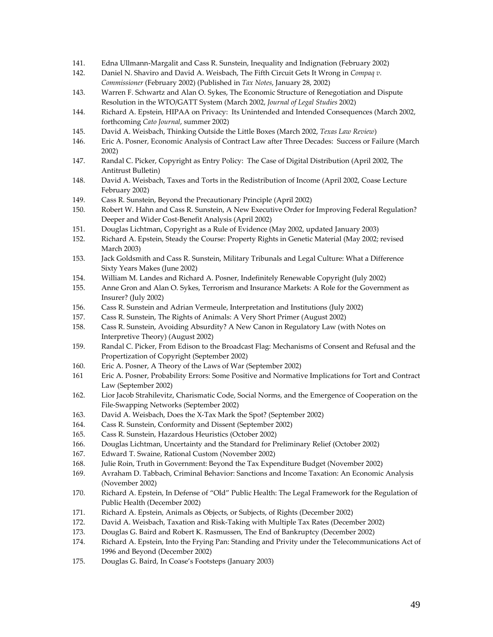- 141. Edna Ullmann-Margalit and Cass R. Sunstein, Inequality and Indignation (February 2002)
- 142. Daniel N. Shaviro and David A. Weisbach, The Fifth Circuit Gets It Wrong in *Compaq v. Commissioner* (February 2002) (Published in *Tax Notes*, January 28, 2002)
- 143. Warren F. Schwartz and Alan O. Sykes, The Economic Structure of Renegotiation and Dispute Resolution in the WTO/GATT System (March 2002, *Journal of Legal Studies* 2002)
- 144. Richard A. Epstein, HIPAA on Privacy: Its Unintended and Intended Consequences (March 2002, forthcoming *Cato Journal*, summer 2002)
- 145. David A. Weisbach, Thinking Outside the Little Boxes (March 2002, *Texas Law Review*)
- 146. Eric A. Posner, Economic Analysis of Contract Law after Three Decades: Success or Failure (March 2002)
- 147. Randal C. Picker, Copyright as Entry Policy: The Case of Digital Distribution (April 2002, The Antitrust Bulletin)
- 148. David A. Weisbach, Taxes and Torts in the Redistribution of Income (April 2002, Coase Lecture February 2002)
- 149. Cass R. Sunstein, Beyond the Precautionary Principle (April 2002)
- 150. Robert W. Hahn and Cass R. Sunstein, A New Executive Order for Improving Federal Regulation? Deeper and Wider Cost-Benefit Analysis (April 2002)
- 151. Douglas Lichtman, Copyright as a Rule of Evidence (May 2002, updated January 2003)
- 152. Richard A. Epstein, Steady the Course: Property Rights in Genetic Material (May 2002; revised March 2003)
- 153. Jack Goldsmith and Cass R. Sunstein, Military Tribunals and Legal Culture: What a Difference Sixty Years Makes (June 2002)
- 154. William M. Landes and Richard A. Posner, Indefinitely Renewable Copyright (July 2002)
- 155. Anne Gron and Alan O. Sykes, Terrorism and Insurance Markets: A Role for the Government as Insurer? (July 2002)
- 156. Cass R. Sunstein and Adrian Vermeule, Interpretation and Institutions (July 2002)
- 157. Cass R. Sunstein, The Rights of Animals: A Very Short Primer (August 2002)
- 158. Cass R. Sunstein, Avoiding Absurdity? A New Canon in Regulatory Law (with Notes on Interpretive Theory) (August 2002)
- 159. Randal C. Picker, From Edison to the Broadcast Flag: Mechanisms of Consent and Refusal and the Propertization of Copyright (September 2002)
- 160. Eric A. Posner, A Theory of the Laws of War (September 2002)
- 161 Eric A. Posner, Probability Errors: Some Positive and Normative Implications for Tort and Contract Law (September 2002)
- 162. Lior Jacob Strahilevitz, Charismatic Code, Social Norms, and the Emergence of Cooperation on the File-Swapping Networks (September 2002)
- 163. David A. Weisbach, Does the X-Tax Mark the Spot? (September 2002)
- 164. Cass R. Sunstein, Conformity and Dissent (September 2002)
- 165. Cass R. Sunstein, Hazardous Heuristics (October 2002)
- 166. Douglas Lichtman, Uncertainty and the Standard for Preliminary Relief (October 2002)
- 167. Edward T. Swaine, Rational Custom (November 2002)
- 168. Julie Roin, Truth in Government: Beyond the Tax Expenditure Budget (November 2002)
- 169. Avraham D. Tabbach, Criminal Behavior: Sanctions and Income Taxation: An Economic Analysis (November 2002)
- 170. Richard A. Epstein, In Defense of "Old" Public Health: The Legal Framework for the Regulation of Public Health (December 2002)
- 171. Richard A. Epstein, Animals as Objects, or Subjects, of Rights (December 2002)
- 172. David A. Weisbach, Taxation and Risk-Taking with Multiple Tax Rates (December 2002)
- 173. Douglas G. Baird and Robert K. Rasmussen, The End of Bankruptcy (December 2002)
- 174. Richard A. Epstein, Into the Frying Pan: Standing and Privity under the Telecommunications Act of 1996 and Beyond (December 2002)
- 175. Douglas G. Baird, In Coase's Footsteps (January 2003)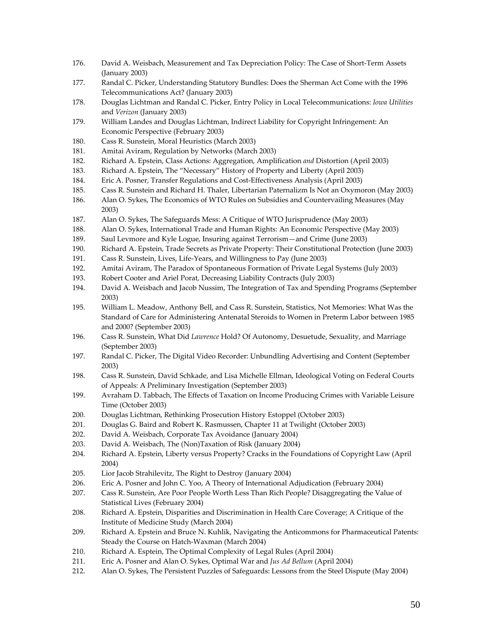- 176. David A. Weisbach, Measurement and Tax Depreciation Policy: The Case of Short-Term Assets (January 2003)
- 177. Randal C. Picker, Understanding Statutory Bundles: Does the Sherman Act Come with the 1996 Telecommunications Act? (January 2003)
- 178. Douglas Lichtman and Randal C. Picker, Entry Policy in Local Telecommunications: *Iowa Utilities* and *Verizon* (January 2003)
- 179. William Landes and Douglas Lichtman, Indirect Liability for Copyright Infringement: An Economic Perspective (February 2003)
- 180. Cass R. Sunstein, Moral Heuristics (March 2003)
- 181. Amitai Aviram, Regulation by Networks (March 2003)
- 182. Richard A. Epstein, Class Actions: Aggregation, Amplification *and* Distortion (April 2003)
- 183. Richard A. Epstein, The "Necessary" History of Property and Liberty (April 2003)
- 184. Eric A. Posner, Transfer Regulations and Cost-Effectiveness Analysis (April 2003)
- 185. Cass R. Sunstein and Richard H. Thaler, Libertarian Paternalizm Is Not an Oxymoron (May 2003)
- 186. Alan O. Sykes, The Economics of WTO Rules on Subsidies and Countervailing Measures (May 2003)
- 187. Alan O. Sykes, The Safeguards Mess: A Critique of WTO Jurisprudence (May 2003)
- 188. Alan O. Sykes, International Trade and Human Rights: An Economic Perspective (May 2003)
- 189. Saul Levmore and Kyle Logue, Insuring against Terrorism—and Crime (June 2003)
- 190. Richard A. Epstein, Trade Secrets as Private Property: Their Constitutional Protection (June 2003)
- 191. Cass R. Sunstein, Lives, Life-Years, and Willingness to Pay (June 2003)
- 192. Amitai Aviram, The Paradox of Spontaneous Formation of Private Legal Systems (July 2003)
- 193. Robert Cooter and Ariel Porat, Decreasing Liability Contracts (July 2003)
- 194. David A. Weisbach and Jacob Nussim, The Integration of Tax and Spending Programs (September 2003)
- 195. William L. Meadow, Anthony Bell, and Cass R. Sunstein, Statistics, Not Memories: What Was the Standard of Care for Administering Antenatal Steroids to Women in Preterm Labor between 1985 and 2000? (September 2003)
- 196. Cass R. Sunstein, What Did *Lawrence* Hold? Of Autonomy, Desuetude, Sexuality, and Marriage (September 2003)
- 197. Randal C. Picker, The Digital Video Recorder: Unbundling Advertising and Content (September 2003)
- 198. Cass R. Sunstein, David Schkade, and Lisa Michelle Ellman, Ideological Voting on Federal Courts of Appeals: A Preliminary Investigation (September 2003)
- 199. Avraham D. Tabbach, The Effects of Taxation on Income Producing Crimes with Variable Leisure Time (October 2003)
- 200. Douglas Lichtman, Rethinking Prosecution History Estoppel (October 2003)
- 201. Douglas G. Baird and Robert K. Rasmussen, Chapter 11 at Twilight (October 2003)
- 202. David A. Weisbach, Corporate Tax Avoidance (January 2004)
- 203. David A. Weisbach, The (Non)Taxation of Risk (January 2004)
- 204. Richard A. Epstein, Liberty versus Property? Cracks in the Foundations of Copyright Law (April 2004)
- 205. Lior Jacob Strahilevitz, The Right to Destroy (January 2004)
- 206. Eric A. Posner and John C. Yoo, A Theory of International Adjudication (February 2004)
- 207. Cass R. Sunstein, Are Poor People Worth Less Than Rich People? Disaggregating the Value of Statistical Lives (February 2004)
- 208. Richard A. Epstein, Disparities and Discrimination in Health Care Coverage; A Critique of the Institute of Medicine Study (March 2004)
- 209. Richard A. Epstein and Bruce N. Kuhlik, Navigating the Anticommons for Pharmaceutical Patents: Steady the Course on Hatch-Waxman (March 2004)
- 210. Richard A. Esptein, The Optimal Complexity of Legal Rules (April 2004)
- 211. Eric A. Posner and Alan O. Sykes, Optimal War and *Jus Ad Bellum* (April 2004)
- 212. Alan O. Sykes, The Persistent Puzzles of Safeguards: Lessons from the Steel Dispute (May 2004)